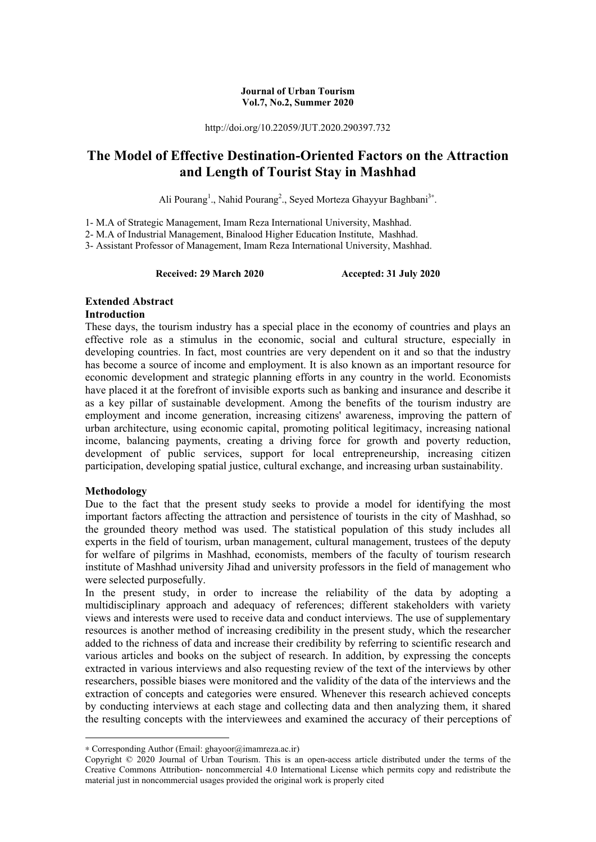#### **Journal of Urban Tourism Vol.7, No.2, Summer 2020**

http://doi.org/10.22059/JUT.2020.290397.732

# **The Model of Effective Destination-Oriented Factors on the Attraction and Length of Tourist Stay in Mashhad**

Ali Pourang<sup>1</sup>., Nahid Pourang<sup>2</sup>., Seyed Morteza Ghayyur Baghbani<sup>3</sup>\*.

1- M.A of Strategic Management, Imam Reza International University, Mashhad.

2- M.A of Industrial Management, Binalood Higher Education Institute, Mashhad.

3- Assistant Professor of Management, Imam Reza International University, Mashhad.

**Received: 29 March 2020 Accepted: 31 July 2020** 

# **Extended Abstract**

#### **Introduction**

These days, the tourism industry has a special place in the economy of countries and plays an effective role as a stimulus in the economic, social and cultural structure, especially in developing countries. In fact, most countries are very dependent on it and so that the industry has become a source of income and employment. It is also known as an important resource for economic development and strategic planning efforts in any country in the world. Economists have placed it at the forefront of invisible exports such as banking and insurance and describe it as a key pillar of sustainable development. Among the benefits of the tourism industry are employment and income generation, increasing citizens' awareness, improving the pattern of urban architecture, using economic capital, promoting political legitimacy, increasing national income, balancing payments, creating a driving force for growth and poverty reduction, development of public services, support for local entrepreneurship, increasing citizen participation, developing spatial justice, cultural exchange, and increasing urban sustainability.

#### **Methodology**

**.** 

Due to the fact that the present study seeks to provide a model for identifying the most important factors affecting the attraction and persistence of tourists in the city of Mashhad, so the grounded theory method was used. The statistical population of this study includes all experts in the field of tourism, urban management, cultural management, trustees of the deputy for welfare of pilgrims in Mashhad, economists, members of the faculty of tourism research institute of Mashhad university Jihad and university professors in the field of management who were selected purposefully.

In the present study, in order to increase the reliability of the data by adopting a multidisciplinary approach and adequacy of references; different stakeholders with variety views and interests were used to receive data and conduct interviews. The use of supplementary resources is another method of increasing credibility in the present study, which the researcher added to the richness of data and increase their credibility by referring to scientific research and various articles and books on the subject of research. In addition, by expressing the concepts extracted in various interviews and also requesting review of the text of the interviews by other researchers, possible biases were monitored and the validity of the data of the interviews and the extraction of concepts and categories were ensured. Whenever this research achieved concepts by conducting interviews at each stage and collecting data and then analyzing them, it shared the resulting concepts with the interviewees and examined the accuracy of their perceptions of

<sup>∗</sup> Corresponding Author (Email: ghayoor@imamreza.ac.ir)

Copyright © 2020 Journal of Urban Tourism. This is an open-access article distributed under the terms of the Creative Commons Attribution- noncommercial 4.0 International License which permits copy and redistribute the material just in noncommercial usages provided the original work is properly cited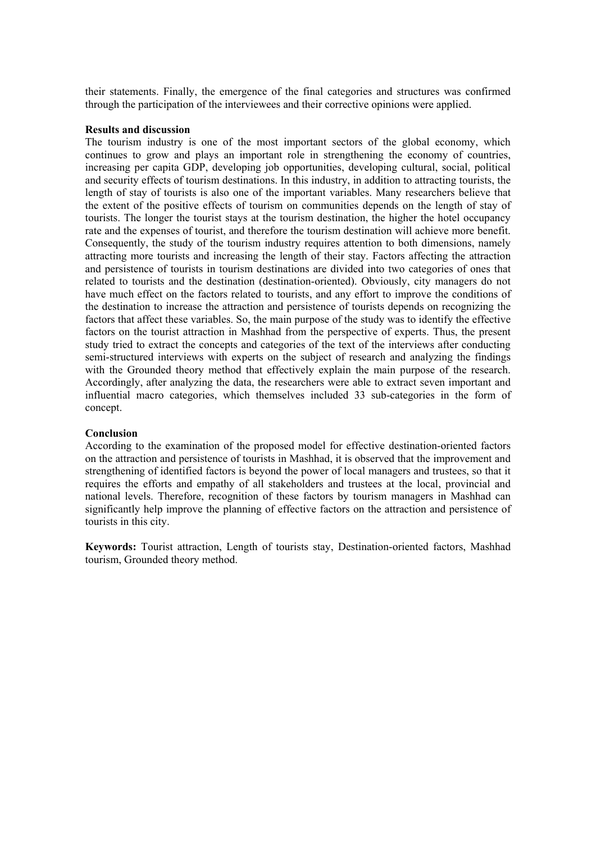their statements. Finally, the emergence of the final categories and structures was confirmed through the participation of the interviewees and their corrective opinions were applied.

#### **Results and discussion**

The tourism industry is one of the most important sectors of the global economy, which continues to grow and plays an important role in strengthening the economy of countries, increasing per capita GDP, developing job opportunities, developing cultural, social, political and security effects of tourism destinations. In this industry, in addition to attracting tourists, the length of stay of tourists is also one of the important variables. Many researchers believe that the extent of the positive effects of tourism on communities depends on the length of stay of tourists. The longer the tourist stays at the tourism destination, the higher the hotel occupancy rate and the expenses of tourist, and therefore the tourism destination will achieve more benefit. Consequently, the study of the tourism industry requires attention to both dimensions, namely attracting more tourists and increasing the length of their stay. Factors affecting the attraction and persistence of tourists in tourism destinations are divided into two categories of ones that related to tourists and the destination (destination-oriented). Obviously, city managers do not have much effect on the factors related to tourists, and any effort to improve the conditions of the destination to increase the attraction and persistence of tourists depends on recognizing the factors that affect these variables. So, the main purpose of the study was to identify the effective factors on the tourist attraction in Mashhad from the perspective of experts. Thus, the present study tried to extract the concepts and categories of the text of the interviews after conducting semi-structured interviews with experts on the subject of research and analyzing the findings with the Grounded theory method that effectively explain the main purpose of the research. Accordingly, after analyzing the data, the researchers were able to extract seven important and influential macro categories, which themselves included 33 sub-categories in the form of concept.

#### **Conclusion**

According to the examination of the proposed model for effective destination-oriented factors on the attraction and persistence of tourists in Mashhad, it is observed that the improvement and strengthening of identified factors is beyond the power of local managers and trustees, so that it requires the efforts and empathy of all stakeholders and trustees at the local, provincial and national levels. Therefore, recognition of these factors by tourism managers in Mashhad can significantly help improve the planning of effective factors on the attraction and persistence of tourists in this city.

**Keywords:** Tourist attraction, Length of tourists stay, Destination-oriented factors, Mashhad tourism, Grounded theory method.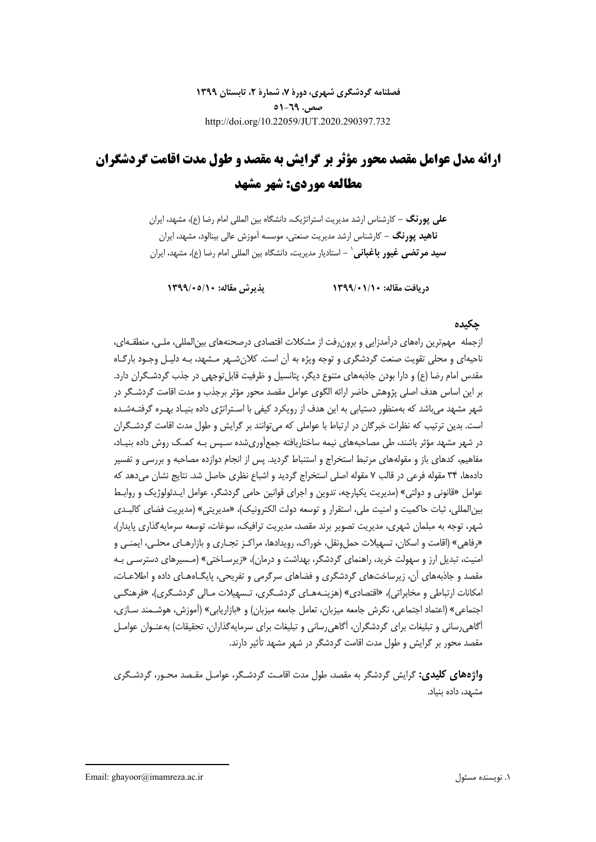**فصلنامه گردشگري شهري، دورة ،7 شمارة ،2 تابستان 1399 صص. 51-69** http://doi.org/10.22059/JUT.2020.290397.732

# **ارائه مدل عوامل مقصد محور مؤثر بر گرايش به مقصد و طول مدت اقامت گردشگران مطالعه موردي: شهر مشهد**

**علي پورنگ -** كارشناس ارشد مديريت استراتژيك، دانشگاه بين المللي امام رضا (ع)، مشهد، ايران **ناهيد پورنگ -** كارشناس ارشد مديريت صنعتي، موسسه آموزش عالي بينالود، مشهد، ايران **-** استاديار مديريت، دانشگاه بين المللي امام رضا (ع)، مشهد، ايران<sup>1</sup> **سيد مرتضي غيور باغباني**

**دريافت مقاله: 1399/01/10 پذيرش مقاله: 1399/05/10** 

## **چكيده**

ازجمله مهمترين راههاي درآمدزايي و برونرفت از مشكلات اقتصادي درصحنههاي بينالمللي، ملـي، منطقـهاي، ناحيهاي و محلي تقويت صنعت گردشگري و توجه ويژه به آن است . كلانشـهر مـشهد، بـه دليـل وجـود بارگـاه مقدس امام رضا (ع) و دارا بودن جاذبههاي متنوع ديگر، پتانسيل و ظرفيت قابلتوجهي در جذب گردشـگران دارد. بر اين اساس هدف اصلي پژوهش حاضر ارائه الگوي عوامل مقصد محور مؤثر برجذب و مدت اقامت گردشـگر در شهر مشهد ميباشد كه بهمنظور دستيابي به اين هدف از رويكرد كيفي با اسـتراتژي داده بنيـاد بهـره گرفتـهشـده است. بدين ترتيب كه نظرات خبرگان در ارتباط با عواملي كه ميتوانند بر گرايش و طول مدت اقامت گردشـگران در شهر مشهد مؤثر باشند، طي مصاحبههاي نيمه ساختاريافته جمعآوريشده سـپس بـه كمـك روش داده بنيـاد، مفاهيم، كدهاي باز و مقولههاي مرتبط استخراج و استنباط گرديد. پس از انجام دوازده مصاحبه و بررسي و تفسير دادهها، 34 مقوله فرعي در قالب 7 مقوله اصلي استخراج گرديد و اشباع نظري حاصل شد. نتايج نشان ميدهد كه عوامل «قانوني و دولتي» (مديريت يكپارچه، تدوين و اجراي قوانين حامي گردشگر، عوامل ايـدئولوژيك و روابـط بينالمللي، ثبات حاكميت و امنيت ملي، استقرار و توسعه دولت الكترونيك)، «مديريتي» (مديريت فضاي كالبـدي شهر، توجه به مبلمان شهري، مديريت تصوير برند مقصد، مديريت ترافيك، سوغات، توسعه سرمايه گذاري پايدار)، «رفاهي» (اقامت و اسكان، تسهيلات حملونقل، خوراك، رويدادها، مراكـز تجـاري و بازارهـاي محلـي، ايمنـي و امنيت، تبديل ارز و سهولت خريد، راهنماي گردشگر، بهداشت و درمان)، «زيرسـاختي» (مـسيرهاي دسترسـي بـه مقصد و جاذبههاي آن، زيرساختهاي گردشگري و فضاهاي سرگرمي و تفريحي، پايگـاههـاي داده و اطلاعـات، امكانات ارتباطي و مخابراتي)، «اقتصادي» (هزينـههـاي گردشـگري، تـسهيلات مـالي گردشـگري)، «فرهنگـي اجتماعي» (اعتماد اجتماعي، نگرش جامعه ميزبان، تعامل جامعه ميزبان) و «بازاريابي» (آموزش، هوشـمند سـازي، آگاهيرساني و تبليغات براي گردشگران، آگاهيرساني و تبليغات براي سرمايهگذاران، تحقيقات) بهعنـوان عوامـل مقصد محور بر گرايش و طول مدت اقامت گردشگر در شهر مشهد تأثير دارند.

**واژههاي كليدي:** گرايش گردشگر به مقصد، طول مدت اقامـت گردشـگر، عوامـل مقـصد محـور، گردشـگري مشهد، داده بنياد.

Email: ghayoor@imamreza.ac.ir مسئول نويسنده .1

1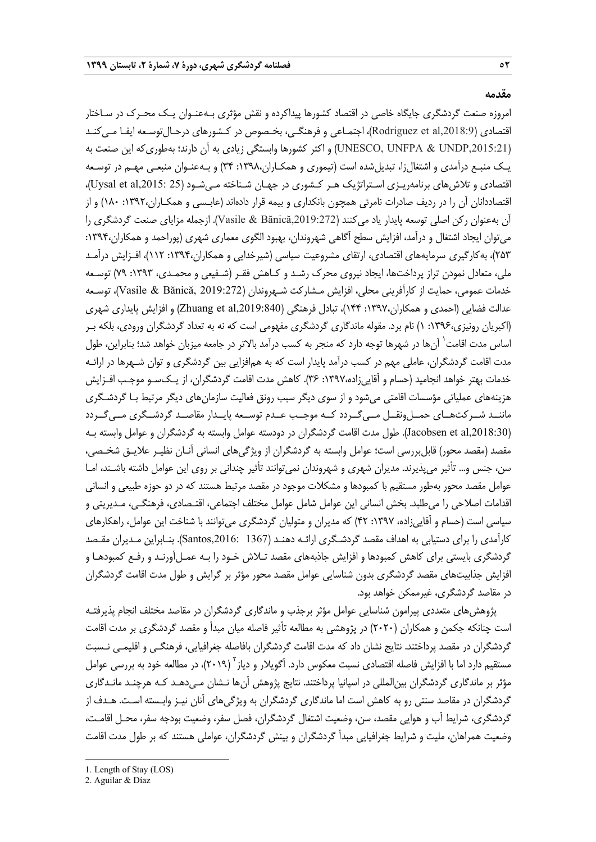#### **مقدمه**

امروزه صنعت گردشگري جايگاه خاصي در اقتصاد كشورها پيداكرده و نقش مؤثري بـهعنـوان يـك محـرك در سـاختار اقتصادي (Rodriguez et al,2018:9)، اجتمـاعي و فرهنگـي، بخـصوص در كـشورهاي درحـال توسـعه ايفـا مـي كنـد (UNESCO, UNFPA & UNDP,2015:21) و اكثر كشورها وابستگي زيادي به آن دارند؛ بهطوريكه اين صنعت به يـك منبـع درآمدي و اشتغالزا، تبديلشده است (تيموري و همكـاران:1398، 34) و بـهعنـوان منبعـي مهـم در توسـعه اقتصادي و تلاشهاي برنامهريـزي اسـتراتژيك هـر كـشوري در جهـان شـناخته مـيشـود (25 ,2015:al et Uysal(، اقتصاددانان آن را در رديف صادرات نامرئي همچون بانكداري و بيمه قرار دادهاند (عابـسي و همكـاران:1392، 180) و از آن بهعنوان ركن اصلي توسعه پايدار ياد ميكنند (,2019:272Bănică & Vasile(. ازجمله مزاياي صنعت گردشگري را ميتوان ايجاد اشتغال و درآمد، افزايش سطح آگاهي شهروندان، بهبود الگوي معماري شهري (پوراحمد و همكاران:1394، 253)، بهكارگيري سرمايههاي اقتصادي، ارتقاي مشروعيت سياسي (شيرخدايي و همكاران:1394، 112)، افـزايش درآمـد ملي، متعادل نمودن تراز پرداختها، ايجاد نيروي محرك رشـد و كـاهش فقـر (شـفيعي و محمـدي، :1393 79) توسـعه خدمات عمومي، حمايت از كارآفريني محلي، افزايش مـشاركت شـهروندان (2019:272 ,Bănică & Vasile(، توسـعه عدالت فضايي (احمدي و همكاران:1397، 144)، تبادل فرهنگي (,2019:840al et Zhuang (و افزايش پايداري شهري (اكبريان رونيزي:1396، 1) نام برد. مقوله ماندگاري گردشگري مفهومي است كه نه به تعداد گردشگران ورودي، بلكه بـر آساس مدت اقامت` آنها در شهرها توجه دارد كه منجر به كسب درآمد بالاتر در جامعه ميزبان خواهد شد؛ بنابراين، طول مدت اقامت گردشگران، عاملي مهم در كسب درآمد پايدار است كه به همافزايي بين گردشگري و توان شـهرها در ارائـه خدمات بهتر خواهد انجاميد (حسام و آقاييزاده:1397، 36). كاهش مدت اقامت گردشگران، از يـكسـو موجـب افـزايش هزينههاي عملياتي مؤسسات اقامتي ميشود و از سوي ديگر سبب رونق فعاليت سازمانهاي ديگر مرتبط بـا گردشـگري ماننــد شــركتهــاي حمــلونقــل مــيگــردد كــه موجــب عــدم توســعه پايــدار مقاصــد گردشــگري مــيگــردد (,2018:30al et Jacobsen(. طول مدت اقامت گردشگران در دودسته عوامل وابسته به گردشگران و عوامل وابسته بـه مقصد (مقصد محور) قابلبررسي است؛ عوامل وابسته به گردشگران از ويژگيهاي انساني آنـان نظيـر علايـق شخـصي، سن، جنس و... تأثير ميپذيرند. مديران شهري و شهروندان نميتوانند تأثير چنداني بر روي اين عوامل داشته باشـند، امـا عوامل مقصد محور بهطور مستقيم با كمبودها و مشكلات موجود در مقصد مرتبط هستند كه در دو حوزه طبيعي و انساني اقدامات اصلاحي را ميطلبد. بخش انساني اين عوامل شامل عوامل مختلف اجتماعي، اقتـصادي، فرهنگـي، مـديريتي و سياسي است (حسام و آقاييزاده، :1397 42) كه مديران و متوليان گردشگري ميتوانند با شناخت اين عوامل، راهكارهاي كارآمدي را براي دستيابي به اهداف مقصد گردشـگري ارائـه دهنـد (1367 ,2016:Santos(. بنـابراين مـديران مقـصد گردشگري بايستي براي كاهش كمبودها و افزايش جاذبههاي مقصد تـلاش خـود را بـه عمـل آورنـد و رفـع كمبودهـا و افزايش جذابيتهاي مقصد گردشگري بدون شناسايي عوامل مقصد محور مؤثر بر گرايش و طول مدت اقامت گردشگران در مقاصد گردشگري، غيرممكن خواهد بود.

پژوهشهاي متعددي پيرامون شناسايي عوامل مؤثر برجذب و ماندگاري گردشگران در مقاصد مختلف انجام پذيرفتـه است چنانكه جكمن و همكاران (2020) در پژوهشي به مطالعه تأثير فاصله ميان مبدأ و مقصد گردشگري بر مدت اقامت گردشگران در مقصد پرداختند. نتايج نشان داد كه مدت اقامت گردشگران بافاصله جغرافيايي، فرهنگـي و اقليمـي نـسبت مستقيم دارد اما با افزايش فاصله اقتصادي نسبت معكوس دارد. آگويلار و دياز<sup>۲</sup> (۲۰۱۹)، در مطالعه خود به بررسي عوامل مؤثر بر ماندگاري گردشگران بينالمللي در اسپانيا پرداختند. نتايج پژوهش آنها نـشان مـيدهـد كـه هرچنـد مانـدگاري گردشگران در مقاصد سنتي رو به كاهش است اما ماندگاري گردشگران به ويژگيهاي آنان نيـز وابـسته اسـت. هـدف از گردشگري، شرايط آب و هوايي مقصد، سن، وضعيت اشتغال گردشگران، فصل سفر، وضعيت بودجه سفر، محـل اقامـت، وضعيت همراهان، مليت و شرايط جغرافيايي مبدأ گردشگران و بينش گردشگران، عواملي هستند كه بر طول مدت اقامت

**.** 

<sup>1.</sup> Length of Stay (LOS)

<sup>2.</sup> Aguilar & Díaz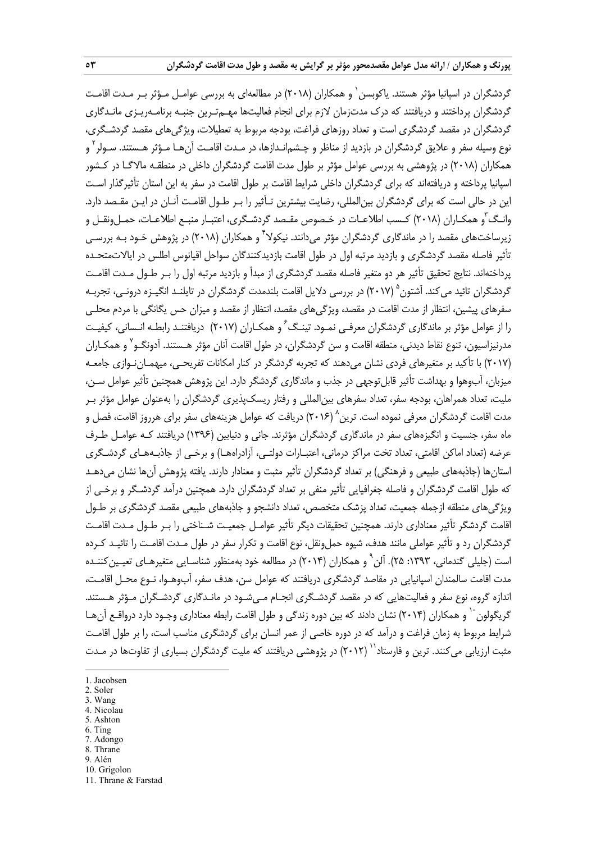گردشگران در اسپانیا مؤثر هستند. پاکوبسن` و همکاران (۲۰۱۸) در مطالعهای به بررسی عوامـل مـؤثر بـر مـدت اقامـت گردشگران پرداختند و دريافتند كه درك مدتزمان لازم براي انجام فعاليتها مهـمتـرين جنبـه برنامـهريـزي مانـدگاري گردشگران در مقصد گردشگري است و تعداد روزهاي فراغت، بودجه مربوط به تعطيلات، ويژگيهاي مقصد گردشـگري، نوع وسيله سفر و علايق گردشگران در بازديد از مناظر و چـشم|نـدازها، در مـدت اقامـت آنهـا مـؤثر هـستند. سـولر<sup>۲</sup> و همكاران (2018) در پژوهشي به بررسي عوامل مؤثر بر طول مدت اقامت گردشگران داخلي در منطقـه مالاگـا در كـشور اسپانيا پرداخته و دريافتهاند كه براي گردشگران داخلي شرايط اقامت بر طول اقامت در سفر به اين استان تأثيرگذار اسـت اين در حالي است كه براي گردشگران بينالمللي، رضايت بيشترين تـأثير را بـر طـول اقامـت آنـان در ايـن مقـصد دارد. وانـگ ّو همكـاران (٢٠١٨) كـسب اطلاعـات در خـصوص مقـصد گردشـگرى، اعتبـار منبـع اطلاعـات، حمـل ونقـل و زیرساختهای مقصد را در ماندگاری گردشگران مؤثر میدانند. نیکولا<sup>۴</sup> و همکاران (۲۰۱۸) در پژوهش خـود بـه بررسـی تأثير فاصله مقصد گردشگري و بازديد مرتبه اول در طول اقامت بازديدكنندگان سواحل اقيانوس اطلس در ايالات متحـده پرداختهاند. نتايج تحقيق تأثير هر دو متغير فاصله مقصد گردشگري از مبدأ و بازديد مرتبه اول را بـر طـول مـدت اقامـت گردشگران تائيد مي كند. آشتون <sup>۵</sup> (۲۰۱۷) در بررسي دلايل اقامت بلندمدت گردشگران در تايلنـد انگيـزه درونـي، تجربـه سفرهاي پيشين، انتظار از مدت اقامت در مقصد، ويژگيهاي مقصد، انتظار از مقصد و ميزان حس يگانگي با مردم محلـي را از عوامل مؤثر بر ماندگاري گردشگران معرفـي نمـود. تينـگ<sup>2</sup> و همكـاران (٢٠١٧) دريافتنـد رابطـه انـساني، كيفيـت مدرنيزاسيون، تنوع نقاط ديدني، منطقه اقامت و سن گردشگران، در طول اقامت آنان مؤثر هـستند. آدونگـو<sup>۷</sup> و همكـاران (2017) با تأكيد بر متغيرهاي فردي نشان ميدهند كه تجربه گردشگر در كنار امكانات تفريحـي، ميهمـاننـوازي جامعـه ميزبان، آبوهوا و بهداشت تأثير قابل توجهي در جذب و ماندگاري گردشگر دارد. اين پژوهش همچنين تأثير عوامل سـن، مليت، تعداد همراهان، بودجه سفر، تعداد سفرهاي بينالمللي و رفتار ريسكپذيري گردشگران را بهعنوان عوامل مؤثر بـر مدت اقامت گردشگران معرفی نموده است. ترین^ (۲۰۱۶) دریافت که عوامل هزینههای سفر برای هرروز اقامت، فصل و ماه سفر، جنسيت و انگيزههاي سفر در ماندگاري گردشگران مؤثرند. جاني و دنيابين (1396) دريافتند كـه عوامـل طـرف عرضه (تعداد اماكن اقامتي، تعداد تخت مراكز درماني، اعتبـارات دولتـي، آزادراههـا) و برخـي از جاذبـههـاي گردشـگري استانها (جاذبههاي طبيعي و فرهنگي) بر تعداد گردشگران تأثير مثبت و معنادار دارند. يافته پژوهش آنها نشان ميدهـد كه طول اقامت گردشگران و فاصله جغرافيايي تأثير منفي بر تعداد گردشگران دارد . همچنين درآمد گردشـگر و برخـي از ويژگيهاي منطقه ازجمله جمعيت، تعداد پزشك متخصص، تعداد دانشجو و جاذبههاي طبيعي مقصد گردشگري بر طـول اقامت گردشگر تأثير معناداري دارند. همچنين تحقيقات ديگر تأثير عوامـل جمعيـت شـناختي را بـر طـول مـدت اقامـت گردشگران رد و تأثير عواملي مانند هدف، شيوه حملونقل، نوع اقامت و تكرار سفر در طول مـدت اقامـت را تائيـد كـرده است (جليلي گندماني، ١٣٩٣: ٢۵). آلن ْ و همكاران (٢٠١۴) در مطالعه خود بهمنظور شناسـايي متغيرهـاي تعيـين كننـده مدت اقامت سالمندان اسپانيايي در مقاصد گردشگري دريافتند كه عوامل سن، هدف سفر، آب وهـوا، نـوع محـل اقامـت، اندازه گروه، نوع سفر و فعاليتهايي كه در مقصد گردشـگري انجـام مـيشـود در مانـدگاري گردشـگران مـؤثر هـستند. گريگولون `` و همكاران (٢٠١۴) نشان دادند كه بين دوره زندگي و طول اقامت رابطه معناداري وجـود دارد درواقـع آن هـا شرايط مربوط به زمان فراغت و درآمد كه در دوره خاصي از عمر انسان براي گردشگري مناسب است، را بر طول اقامـت مثبت ارزيابی میکنند. ترين و فارستاد<sup>۱٬</sup> (۲۰۱۲) در پژوهشی دريافتند که مليت گردشگران بسياری از تفاوتها در مـدت

2. Soler

**.** 

- 3. Wang 4. Nicolau
- 5. Ashton
- 6. Ting
- 7. Adongo
- 8. Thrane
- 9. Alén
- 10. Grigolon

<sup>1.</sup> Jacobsen

<sup>11.</sup> Thrane & Farstad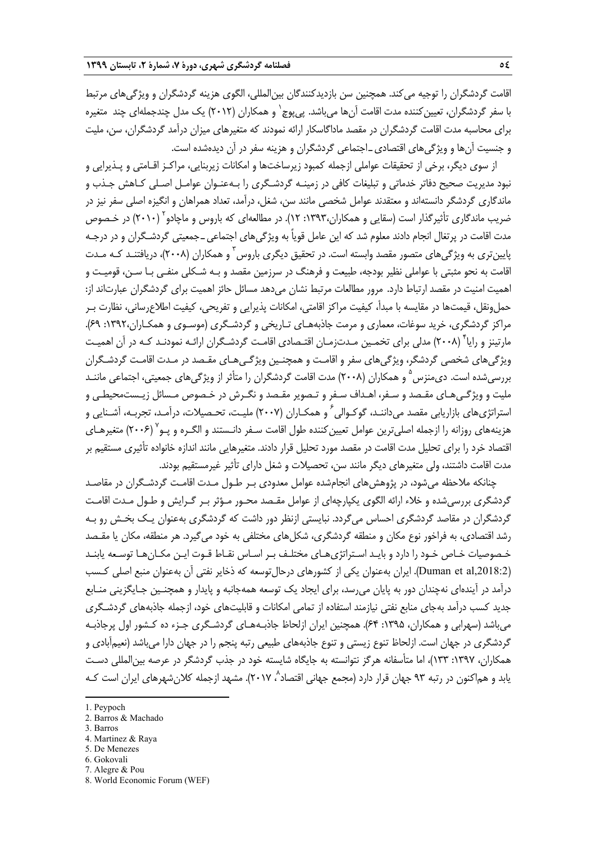اقامت گردشگران را توجيه ميكند. همچنين سن بازديدكنندگان بينالمللي، الگوي هزينه گردشگران و ويژگيهاي مرتبط با سفر گردشگران، تعيين كننده مدت اقامت آنها ميباشد. پي پوچ` و همكاران (٢٠١٢) يک مدل چندجملهاي چند متغيره براي محاسبه مدت اقامت گردشگران در مقصد ماداگاسكار ارائه نمودند كه متغيرهاي ميزان درآمد گردشگران، سن، مليت و جنسيت آنها و ويژگيهاي اقتصاديـاجتماعي گردشگران و هزينه سفر در آن ديدهشده است.

از سوي ديگر، برخي از تحقيقات عواملي ازجمله كمبود زيرساختها و امكانات زيربنايي، مراكـز اقـامتي و پـذيرايي و نبود مديريت صحيح دفاتر خدماتي و تبليغات كافي در زمينـه گردشـگري را بـه عنـوان عوامـل اصـلي كـاهش جـذب و ماندگاري گردشگر دانستهاند و معتقدند عوامل شخصي مانند سن، شغل، درآمد، تعداد همراهان و انگيزه اصلي سفر نيز در ضريب ماندگاري تأثيرگذار است (سقايي و همكاران،١٣٩٣: ١٢). در مطالعهاي كه باروس و ماچادو ٢٠١٠) در خـصوص مدت اقامت در پرتغال انجام دادند معلوم شد كه اين عامل قوياً به ويژگيهاي اجتماعيـ جمعيتي گردشـگران و در درجـه پايينترى به ويژگىهاى متصور مقصد وابسته است. در تحقيق ديگرى باروس<sup>۳</sup> و همكاران (۲۰۰۸)، دريافتنـد كـه مـدت اقامت به نحو مثبتي با عواملي نظير بودجه، طبيعت و فرهنگ در سرزمين مقصد و بـه شـكلي منفـي بـا سـن، قوميـت و اهميت امنيت در مقصد ارتباط دارد. مرور مطالعات مرتبط نشان ميدهد مسائل حائز اهميت براي گردشگران عبارتاند از: حملونقل، قيمتها در مقايسه با مبدأ، كيفيت مراكز اقامتي، امكانات پذيرايي و تفريحي، كيفيت اطلاعرساني، نظارت بـر مراكز گردشگري، خريد سوغات، معماري و مرمت جاذبههـاي تـاريخي و گردشـگري (موسـوي و همكـاران:1392، 69). مارتينز و رايا<sup>۴</sup> (۲۰۰۸) مدلي براي تخمـين مـدتزمـان اقتـصادي اقامـت گردشـگران ارائـه نمودنـد كـه در آن اهميـت ويژگيهاي شخصي گردشگر، ويژگيهاي سفر و اقامـت و همچنـين ويژگـيهـاي مقـصد در مـدت اقامـت گردشـگران بررسي شده است. ديءمنزس <sup>۵</sup> و همكاران (۲۰۰۸) مدت اقامت گردشگران را متأثر از ويژگي هاي جمعيتي، اجتماعي ماننـد مليت و ويژگـيهـاي مقـصد و سـفر، اهـداف سـفر و تـصوير مقـصد و نگـرش در خـصوص مـسائل زيـستمحيطـي و استراتژيهاي بازاريابي مقصد مي<code>clum</code> كوكـوالي ً و همكـاران (٢٠٠٧) مليـت، تحـصيلات، درآمـد، تجربـه، آشـنايي و هزينههاى روزانه را ازجمله اصلىترين عوامل تعيين كننده طول اقامت سـفر دانـستند و الگـره و پـو<sup>۷</sup> (۲۰۰۶) متغيرهـاى اقتصاد خرد را براي تحليل مدت اقامت در مقصد مورد تحليل قرار دادند. متغيرهايي مانند اندازه خانواده تأثيري مستقيم بر مدت اقامت داشتند، ولي متغيرهاي ديگر مانند سن، تحصيلات و شغل داراي تأثير غيرمستقيم بودند.

چنانكه ملاحظه ميشود، در پژوهشهاي انجامشده عوامل معدودي بـر طـول مـدت اقامـت گردشـگران در مقاصـد گردشگري بررسيشده و خلاء ارائه الگوي يكپارچهاي از عوامل مقـصد محـور مـؤثر بـر گـرايش و طـول مـدت اقامـت گردشگران در مقاصد گردشگري احساس ميگردد. نبايستي ازنظر دور داشت كه گردشگري بهعنوان يـك بخـش رو بـه رشد اقتصادي، به فراخور نوع مكان و منطقه گردشگري، شكلهاي مختلفي به خود ميگيرد. هر منطقه، مكان يا مقـصد خـصوصيات خـاص خـود را دارد و بايـد اسـتراتژيهـاي مختلـف بـر اسـاس نقـاط قـوت ايـن مكـانهـا توسـعه يابنـد (,2018:2al et Duman(. ايران بهعنوان يكي از كشورهاي درحالتوسعه كه ذخاير نفتي آن بهعنوان منبع اصلي كـسب درآمد در آيندهاي نهچندان دور به پايان ميرسد، براي ايجاد يك توسعه همهجانبه و پايدار و همچنـين جـايگزيني منـابع جديد كسب درآمد بهجاي منابع نفتي نيازمند استفاده از تمامي امكانات و قابليتهاي خود، ازجمله جاذبههاي گردشـگري ميباشد (سهرابي و همكاران، :1395 64). همچنين ايران ازلحاظ جاذبـههـاي گردشـگري جـزء ده كـشور اول پرجاذبـه گردشگري در جهان است. ازلحاظ تنوع زيستي و تنوع جاذبههاي طبيعي رتبه پنجم را در جهان دارا ميباشد (نعيمآبادي و همكاران، ١٣٩٧: ١٣٣)، اما متأسفانه هرگز نتوانسته به جايگاه شايسته خود در جذب گردشگر در عرصه بين|لمللي دسـت یابد و هماکنون در رتبه ۹۳ جهان قرار دارد (مجمع جهانی اقتصاد^، ۲۰۱۷). مشهد ازجمله کلان شهرهای ایران است کـه

3. Barros

**.** 

- 5. De Menezes
- 6. Gokovali
- 7. Alegre & Pou

<sup>1.</sup> Peypoch

<sup>2.</sup> Barros & Machado

<sup>4.</sup> Martinez & Raya

<sup>8.</sup> World Economic Forum (WEF)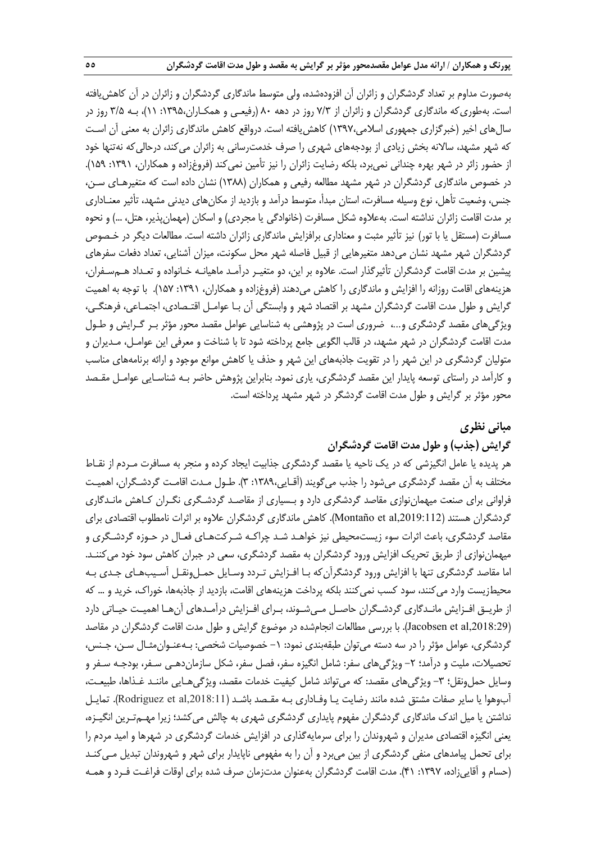بهصورت مداوم بر تعداد گردشگران و زائران آن افزودهشده، ولي متوسط ماندگاري گردشگران و زائران در آن كاهشيافته است. بهطوريكه ماندگاري گردشگران و زائران از 7/3 روز در دهه 80 (رفيعـي و همكـاران:1395، 11)، بـه 3/5 روز در سالهاي اخير (خبرگزاري جمهوري اسلامي1397،) كاهشيافته است. درواقع كاهش ماندگاري زائران به معني آن اسـت كه شهر مشهد، سالانه بخش زيادي از بودجههاي شهري را صرف خدمترساني به زائران مي كند، درحالي كه نهتنها خود از حضور زائر در شهر بهره چنداني نميبرد، بلكه رضايت زائران را نيز تأمين نميكند (فروغزاده و همكاران، :1391 159). در خصوص ماندگاري گردشگران در شهر مشهد مطالعه رفيعي و همكاران (1388) نشان داده است كه متغيرهـاي سـن، جنس، وضعيت تأهل، نوع وسيله مسافرت، استان مبدأ، متوسط درآمد و بازديد از مكانهاي ديدني مشهد، تأثير معنـاداري بر مدت اقامت زائران نداشته است. بهعلاوه شكل مسافرت (خانوادگي يا مجردي) و اسكان (مهمانپذير، هتل، ...) و نحوه مسافرت (مستقل يا با تور) نيز تأثير مثبت و معناداري برافزايش ماندگاري زائران داشته است. مطالعات ديگر در خـصوص گردشگران شهر مشهد نشان ميدهد متغيرهايي از قبيل فاصله شهر محل سكونت، ميزان آشنايي، تعداد دفعات سفرهاي پيشين بر مدت اقامت گردشگران تأثيرگذار است. علاوه بر اين، دو متغيـر درآمـد ماهيانـه خـانواده و تعـداد هـم سـفران، هزينههاي اقامت روزانه را افزايش و ماندگاري را كاهش ميدهند (فروغزاده و همكاران، :1391 157). با توجه به اهميت گرايش و طول مدت اقامت گردشگران مشهد بر اقتصاد شهر و وابستگي آن بـا عوامـل اقتـصادي، اجتمـاعي، فرهنگـي، ويژگيهاي مقصد گردشگري و،... ضروري است در پژوهشي به شناسايي عوامل مقصد محور مؤثر بـر گـرايش و طـول مدت اقامت گردشگران در شهر مشهد، در قالب الگويي جامع پرداخته شود تا با شناخت و معرفي اين عوامـل، مـديران و متوليان گردشگري در اين شهر را در تقويت جاذبههاي اين شهر و حذف يا كاهش موانع موجود و ارائه برنامههاي مناسب و كارآمد در راستاي توسعه پايدار اين مقصد گردشگري، ياري نمود. بنابراين پژوهش حاضر بـه شناسـايي عوامـل مقـصد محور مؤثر بر گرايش و طول مدت اقامت گردشگر در شهر مشهد پرداخته است.

## **مباني نظري**

## **گرايش (جذب) و طول مدت اقامت گردشگران**

هر پديده يا عامل انگيزشي كه در يك ناحيه يا مقصد گردشگري جذابيت ايجاد كرده و منجر به مسافرت مـردم از نقـاط مختلف به آن مقصد گردشگري ميشود را جذب ميگويند (آقـايي1389، : 3). طـول مـدت اقامـت گردشـگران، اهميـت فراواني براي صنعت ميهماننوازي مقاصد گردشگري دارد و بـسياري از مقاصـد گردشـگري نگـران كـاهش مانـدگاري گردشگران هستند (Montaño et al,2019:112). كاهش ماندگاري گردشگران علاوه بر اثرات نامطلوب اقتصادي براي مقاصد گردشگري، باعث اثرات سوء زيستمحيطي نيز خواهـد شـد چراكـه شـركتهـاي فعـال در حـوزه گردشـگري و ميهماننوازي از طريق تحريك افزايش ورود گردشگران به مقصد گردشگري، سعي در جبران كاهش سود خود ميكننـد. اما مقاصد گردشگري تنها با افزايش ورود گردشگرآنكه بـا افـزايش تـردد وسـايل حمـل ونقـل آسـيبهـاي جـدي بـه محيطزيست وارد مي كنند، سود كسب نمي كنند بلكه پرداخت هزينههاي اقامت، بازديد از جاذبهها، خوراك، خريد و … كه از طريـق افـزايش مانـدگاري گردشـگران حاصـل مـيشـوند، بـراي افـزايش درآمـدهاي آنهـا اهميـت حيـاتي دارد (Jacobsen et al,2018:29). با بررسي مطالعات انجامشده در موضوع گرايش و طول مدت اقامت گردشگران در مقاصد گردشگري، عوامل مؤثر را در سه دسته مي توان طبقهبندي نمود: ١- خصوصيات شخصي: بـهعنـوان مثـال سـن، جـنس، تحصيلات، مليت و درآمد؛ ٢- ويژگيهاي سفر: شامل انگيزه سفر، فصل سفر، شكل سازماندهـي سـفر، بودجـه سـفر و وسايل حمل ونقل؛ ٣- ويژگي هاي مقصد: كه مي تواند شامل كيفيت خدمات مقصد، ويژگي هـايي ماننـد غـذاها، طبيعـت، آبوهوا يا ساير صفات مشتق شده مانند رضايت يـا وفـاداري بـه مقـصد باشـد (,2018:11al et Rodriguez(. تمايـل نداشتن يا ميل اندك ماندگاري گردشگران مفهوم پايداري گردشگري شهري به چالش ميكشد؛ زيرا مهـمتـرين انگيـزه، يعني انگيزه اقتصادي مديران و شهروندان را براي سرمايهگذاري در افزايش خدمات گردشگري در شهرها و اميد مردم را براي تحمل پيامدهاي منفي گردشگري از بين ميبرد و آن را به مفهومي ناپايدار براي شهر و شهروندان تبديل مـيكنـد (حسام و آقاييزاده، :1397 41). مدت اقامت گردشگران بهعنوان مدتزمان صرف شده براي اوقات فراغـت فـرد و همـه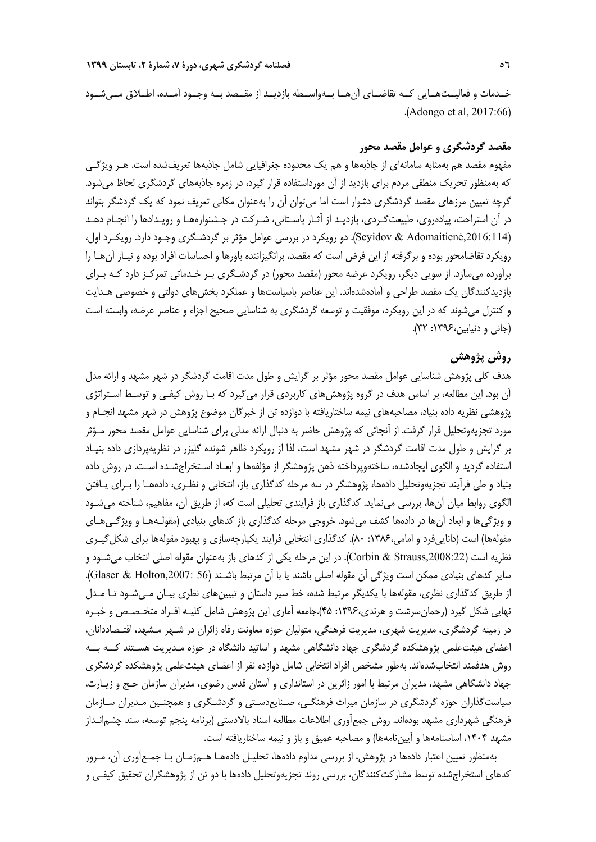خــدمات و فعاليــتهــايي كــه تقاضــاي آنهــا بــهواســطه بازديــد از مقــصد بــه وجــود آمــده، اطــلاق مــيشــود .(Adongo et al, 2017:66)

## **مقصد گردشگري و عوامل مقصد محور**

مفهوم مقصد هم بهمثابه سامانهاي از جاذبهها و هم يك محدوده جغرافيايي شامل جاذبهها تعريفشده است. هـر ويژگـي كه بهمنظور تحريك منطقي مردم براي بازديد از آن مورداستفاده قرار گيرد، در زمره جاذبههاي گردشگري لحاظ ميشود. گرچه تعيين مرزهاي مقصد گردشگري دشوار است اما ميتوان آن را بهعنوان مكاني تعريف نمود كه يك گردشگر بتواند در آن استراحت، پيادهروي، طبيعتگـردي، بازديـد از آثـار باسـتاني، شـركت در جـشنوارههـا و رويـدادها را انجـام دهـد (,2016:114Adomaitienė & Seyidov(. دو رويكرد در بررسي عوامل مؤثر بر گردشـگري وجـود دارد. رويكـرد اول، رويكرد تقاضامحور بوده و برگرفته از اين فرض است كه مقصد، برانگيزاننده باورها و احساسات افراد بوده و نيـاز آنهـا را برآورده ميسازد. از سويي ديگر، رويكرد عرضه محور (مقصد محور) در گردشـگري بـر خـدماتي تمركـز دارد كـه بـراي بازديدكنندگان يك مقصد طراحي و آمادهشدهاند. اين عناصر باسياستها و عملكرد بخشهاي دولتي و خصوصي هـدايت و كنترل ميشوند كه در اين رويكرد، موفقيت و توسعه گردشگري به شناسايي صحيح اجزاء و عناصر عرضه، وابسته است (جاني و دنيابين:1396، 32).

## **روش پژوهش**

هدف كلي پژوهش شناسايي عوامل مقصد محور مؤثر بر گرايش و طول مدت اقامت گردشگر در شهر مشهد و ارائه مدل آن بود. اين مطالعه، بر اساس هدف در گروه پژوهشهاي كاربردي قرار ميگيرد كه بـا روش كيفـي و توسـط اسـتراتژي پژوهشي نظريه داده بنياد، مصاحبههاي نيمه ساختاريافته با دوازده تن از خبرگان موضوع پژوهش در شهر مشهد انجـام و مورد تجزيهوتحليل قرار گرفت. از آنجائي كه پژوهش حاضر به دنبال ارائه مدلي براي شناسايي عوامل مقصد محور مـؤثر بر گرايش و طول مدت اقامت گردشگر در شهر مشهد است، لذا از رويكرد ظاهر شونده گليزر در نظريهپردازي داده بنيـاد استفاده گرديد و الگوي ايجادشده، ساختهوپرداخته ذهن پژوهشگر از مؤلفهها و ابعـاد اسـتخراجشـده اسـت. در روش داده بنياد و طي فرآيند تجزيهوتحليل دادهها، پژوهشگر در سه مرحله كدگذاري باز، انتخابي و نظـري، دادههـا را بـراي يـافتن الگوي روابط ميان آنها، بررسي مينمايد. كدگذاري باز فرايندي تحليلي است كه، از طريق آن، مفاهيم، شناخته ميشـود و ويژگيها و ابعاد آنها در دادهها كشف ميشود. خروجي مرحله كدگذاري باز كدهاي بنيادي (مقولـههـا و ويژگـيهـاي مقولهها) است (داناييفرد و امامي:1386، 80). كدگذاري انتخابي فرايند يكپارچهسازي و بهبود مقولهها براي شكلگيـري نظريه است (Corbin & Strauss,2008:22). در اين مرحله يكي از كدهاي باز بهعنوان مقوله اصلي انتخاب مي شـود و ساير كدهاي بنيادي ممكن است ويژگي آن مقوله اصلي باشند يا با آن مرتبط باشـند (56 :6laser & Holton,2007). از طريق كدگذاري نظري، مقولهها با يكديگر مرتبط شده، خط سير داستان و تبيينهاي نظري بيـان مـيشـود تـا مـدل نهايي شكل گيرد (رحمانسرشت و هرندي:1396، 45).جامعه آماري اين پژوهش شامل كليـه افـراد متخـصـص و خبـره در زمينه گردشگري، مديريت شهري، مديريت فرهنگي، متوليان حوزه معاونت رفاه زائران در شـهر مـشهد، اقتـصاددانان، اعضاي هيئتعلمي پژوهشكده گردشگري جهاد دانشگاهي مشهد و اساتيد دانشگاه در حوزه مـديريت هسـتند كــه بــه روش هدفمند انتخابشدهاند. بهطور مشخص افراد انتخابي شامل دوازده نفر از اعضاي هيئتعلمي پژوهشكده گردشگري جهاد دانشگاهي مشهد، مديران مرتبط با امور زائرين در استانداري و آستان قدس رضوي، مديران سازمان حـج و زيـارت، سياستگذاران حوزه گردشگري در سازمان ميراث فرهنگـي، صـنايع دسـتي و گردشـگري و همچنـين مـديران سـازمان فرهنگي شهرداري مشهد بودهاند. روش جمعآوري اطلاعات مطالعه اسناد بالادستي (برنامه پنجم توسعه، سند چشمانـداز مشهد ۱۴۰۴، اساسنامهها و آيينiامهها) و مصاحبه عميق و باز و نيمه ساختاريافته است.

بهمنظور تعيين اعتبار دادهها در پژوهش، از بررسي مداوم دادهها، تحليـل دادههـا هـمزمـان بـا جمـعآوري آن، مـرور كدهاي استخراجشده توسط مشاركتكنندگان، بررسي روند تجزيهوتحليل دادهها با دو تن از پژوهشگران تحقيق كيفـي و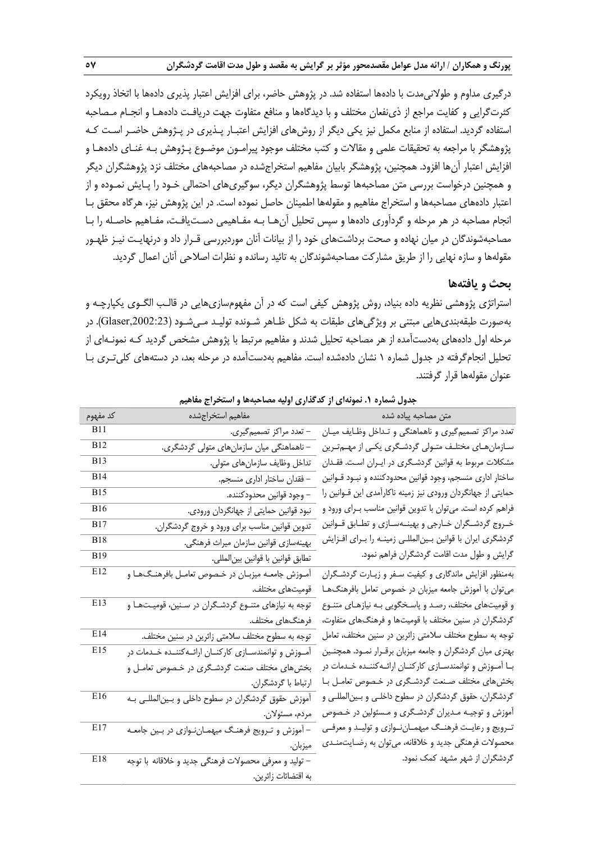درگيري مداوم و طولانيمدت با دادهها استفاده شد. در پژوهش حاضر، براي افزايش اعتبار پذيري دادهها با اتخاذ رويكرد كثرتگرايي و كفايت مراجع از ذينفعان مختلف و با ديدگاهها و منافع متفاوت جهت دريافـت دادههـا و انجـام مـصاحبه استفاده گرديد. استفاده از منابع مكمل نيز يكي ديگر از روشهاي افزايش اعتبـار پـذيري در پـژوهش حاضـر اسـت كـه پژوهشگر با مراجعه به تحقيقات علمي و مقالات و كتب مختلف موجود پيرامـون موضـوع پـژوهش بـه غنـاي داده هـا و افزايش اعتبار آنها افزود. همچنين، پژوهشگر بابيان مفاهيم استخراجشده در مصاحبههاي مختلف نزد پژوهشگران ديگر و همچنين درخواست بررسي متن مصاحبهها توسط پژوهشگران ديگر، سوگيريهاي احتمالي خـود را پـايش نمـوده و از اعتبار دادههاي مصاحبهها و استخراج مفاهيم و مقولهها اطمينان حاصل نموده است. در اين پژوهش نيز، هرگاه محقق بـا انجام مصاحبه در هر مرحله و گردآوري دادهها و سپس تحليل آنهـا بـه مفـاهيمي دسـتيافـت، مفـاهيم حاصـله را بـا مصاحبهشوندگان در ميان نهاده و صحت برداشتهاي خود را از بيانات آنان موردبررسي قـرار داد و درنهايـت نيـز ظهـور مقولهها <sup>و</sup> سازه نهايي را از طريق مشاركت مصاحبهشوندگان به تائيد رسانده <sup>و</sup> نظرات اصلاحي آنان اعمال گرديد.

#### **بحث و يافتهها**

استراتژي پژوهشي نظريه داده بنياد، روش پژوهش كيفي است كه در آن مفهومسازيهايي در قالـب الگـوي يكپارچـه و بهصورت طبقهبنديهايي مبتني بر ويژگيهاي طبقات به شكل ظـاهر شـونده توليـد مـيشـود (,2002:23Glaser(. در مرحله اول دادههاي بهدستآمده از هر مصاحبه تحليل شدند و مفاهيم مرتبط با پژوهش مشخص گرديد كـه نمونـهاي از تحليل انجامگرفته در جدول شماره 1 نشان دادهشده است. مفاهيم بهدستآمده در مرحله بعد، در دستههاي كليتـري بـا عنوان مقولهها قرار گرفتند.

|             | $\sim$ $\sim$ $\sim$<br><u>.</u>                          | $\mathcal{L}$                                                    |
|-------------|-----------------------------------------------------------|------------------------------------------------------------------|
| كد مفهوم    | مفاهيم استخراجشده                                         | متن مصاحبه پیاده شده                                             |
| <b>B11</b>  | – تعدد مراكز تصميم گيري.                                  | تعدد مراکز تصمیم گیری و ناهماهنگی و تـداخل وظـایف میـان          |
| <b>B12</b>  | – ناهماهنگی میان سازمانهای متولی گردشگری.                 | سـازمانهـاي مختلـف متـولى گردشـگرى يكـي از مهـمتـرين             |
| <b>B</b> 13 | تداخل وظايف سازمان،اي متولى.                              | مشکلات مربوط به قوانین گردشگری در ایـران اسـت. فقـدان            |
| <b>B14</b>  | – فقدان ساختار اداری منسجم.                               | ساختار اداری منسجم، وجود قوانین محدودکننده و نبـود قـوانین       |
| <b>B</b> 15 | – وجود قوانين محدودكننده.                                 | حمایتی از جهانگردان ورودی نیز زمینه ناکارآمدی این قــوانین را    |
| <b>B16</b>  | نبود قوانین حمایتی از جهانگردان ورودی.                    | فراهم کرده است. میتوان با تدوین قوانین مناسب بـرای ورود و        |
| <b>B</b> 17 | تدوین قوانین مناسب برای ورود و خروج گردشگران.             | خـروج گردشـگران خـارجى و بهينــهسـازى و تطــابق قــوانين         |
| <b>B18</b>  | بهينهسازي قوانين سازمان ميراث فرهنگي.                     | گردشگری ایران با قوانین بـینالمللـی زمینـه را بـرای افـزایش      |
| <b>B</b> 19 | تطابق قوانين با قوانين بينالمللي.                         | گرایش و طول مدت اقامت گردشگران فراهم نمود.                       |
| E12         | آمـوزش جامعــه ميزبــان در خـصوص تعامــل بافرهنــگـهــا و | بهمنظور افزایش ماندگاری و کیفیت سـفر و زیــارت گردشـگران         |
|             | قوميتهاى مختلف.                                           | میتوان با آموزش جامعه میزبان در خصوص تعامل بافرهنگهـا            |
| E13         | توجه به نیازهای متنـوع گردشـگران در سـنین، قومیـتهـا و    | و قومیتهای مختلف، رصـد و پاسـخگویی بـه نیازهـای متنـوع           |
|             | فرهنگهای مختلف.                                           | گردشگران در سنین مختلف با قومیتها و فرهنگـهای متفاوت،            |
| E14         | توجه به سطوح مختلف سلامتی زائرین در سنین مختلف.           | توجه به سطوح مختلف سلامتی زائرین در سنین مختلف، تعامل            |
| E15         | آموزش و توانمندسازی کارکنان ارائهکننده خدمات در           | بهتری میان گردشگران و جامعه میزبان برقـرار نمـود. همچنـین        |
|             | بخشهای مختلف صنعت گردشگری در خـصوص تعامـل و               | بــا آمــوزش و توانمندســازی کارکنــان ارائــهکننــده خــدمات در |
|             | ارتباط با گردشگران.                                       | بخشهای مختلف صـنعت گردشـگری در خـصوص تعامـل بــا                 |
| E16         | آموزش حقوق گردشگران در سطوح داخلی و بینالمللـی بـه        | گردشگران، حقوق گردشگران در سطوح داخلـی و بـین لمللـی و           |
|             | مردم، مسئولان.                                            | آموزش و توجیـه مـدیران گردشـگری و مـسئولین در خـصوص              |
| E17         | – آموزش و تـرویج فرهنـگ میهمـانiنوازی در بـین جامعـه      | تـرویج و رعایــت فرهنــگ میهمــاننــوازی و تولیــد و معرفــی     |
|             | ميزبان.                                                   | محصولات فرهنگی جدید و خلاقانه، میتوان به رضـایتمنـدی             |
| E18         | – تولید و معرفی محصولات فرهنگی جدید و خلاقانه با توجه     | گردشگران از شهر مشهد کمک نمود.                                   |
|             | به اقتضائات زائرين.                                       |                                                                  |
|             |                                                           |                                                                  |

**جدول شماره .1 نمونهاي از كدگذاري اوليه مصاحبهها و استخراج مفاهيم**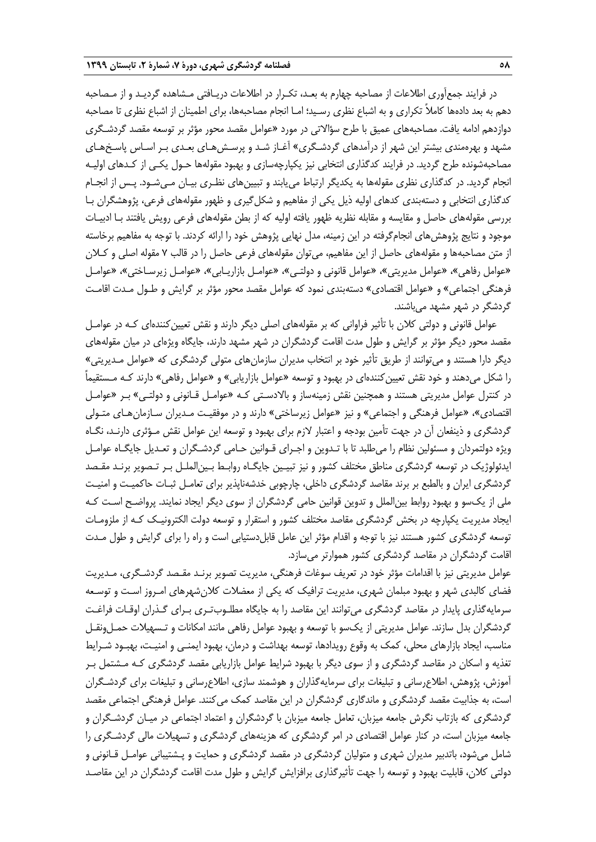در فرايند جمعآوري اطلاعات از مصاحبه چهارم به بعـد، تكـرار در اطلاعات دريـافتي مـشاهده گرديـد و از مـصاحبه دهم به بعد دادهها كاملاً تكراري و به اشباع نظري رسـيد؛ امـا انجام مصاحبهها، براي اطمينان از اشباع نظري تا مصاحبه دوازدهم ادامه يافت. مصاحبههاي عميق با طرح سؤالاتي در مورد «عوامل مقصد محور مؤثر بر توسعه مقصد گردشـگري مشهد و بهرهمندي بيشتر اين شهر از درآمدهاي گردشـگري» آغـاز شـد و پرسـشهـاي بعـدي بـر اسـاس پاسـخهـاي مصاحبهشونده طرح گرديد. در فرايند كدگذاري انتخابي نيز يكپارچهسازي و بهبود مقولهها حـول يكـي از كـدهاي اوليـه انجام گرديد. در كدگذاري نظري مقولهها به يكديگر ارتباط مييابند و تبيينهاي نظـري بيـان مـيشـود. پـس از انجـام كدگذاري انتخابي و دستهبندي كدهاي اوليه ذيل يكي از مفاهيم و شكلگيري و ظهور مقولههاي فرعي، پژوهشگران بـا بررسي مقولههاي حاصل و مقايسه و مقابله نظريه ظهور يافته اوليه كه از بطن مقولههاي فرعي رويش يافتند بـا ادبيـات موجود و نتايج پژوهشهاي انجامگرفته در اين زمينه، مدل نهايي پژوهش خود را ارائه كردند. با توجه به مفاهيم برخاسته از متن مصاحبهها و مقولههاي حاصل از اين مفاهيم، ميتوان مقولههاي فرعي حاصل را در قالب 7 مقوله اصلي و كـلان «عوامل رفاهي»، «عوامل مديريتي»، «عوامل قانوني و دولتـي»، «عوامـل بازاريـابي»، «عوامـل زيرسـاختي»، «عوامـل فرهنگي اجتماعي» و «عوامل اقتصادي» دستهبندي نمود كه عوامل مقصد محور مؤثر بر گرايش و طـول مـدت اقامـت گردشگر در شهر مشهد ميباشند.

عوامل قانوني و دولتي كلان با تأثير فراواني كه بر مقولههاي اصلي ديگر دارند و نقش تعيينكنندهاي كـه در عوامـل مقصد محور ديگر مؤثر بر گرايش و طول مدت اقامت گردشگران در شهر مشهد دارند، جايگاه ويژهاي در ميان مقولههاي ديگر دارا هستند و ميتوانند از طريق تأثير خود بر انتخاب مديران سازمانهاي متولي گردشگري كه «عوامل مـديريتي» را شكل ميدهند و خود نقش تعيينكنندهاي در بهبود و توسعه «عوامل بازاريابي» و «عوامل رفاهي» دارند كـه مـستقيماً در كنترل عوامل مديريتي هستند و همچنين نقش زمينهساز و بالادسـتي كـه «عوامـل قـانوني و دولتـي» بـر «عوامـل اقتصادي»، «عوامل فرهنگي و اجتماعي» و نيز «عوامل زيرساختي» دارند و در موفقيـت مـديران سـازمانهـاي متـولي گردشگري و ذينفعان آن در جهت تأمين بودجه و اعتبار لازم براي بهبود و توسعه اين عوامل نقش مـؤثري دارنـد، نگـاه ويژه دولتمردان و مسئولين نظام را ميطلبد تا با تـدوين و اجـراي قـوانين حـامي گردشـگران و تعـديل جايگـاه عوامـل ايدئولوژيك در توسعه گردشگري مناطق مختلف كشور و نيز تبيـين جايگـاه روا بـط بـينالملـل بـر تـصوير برنـد مقـصد گردشگري ايران و بالطبع بر برند مقاصد گردشگري داخلي، چارچوبي خدشهناپذير براي تعامـل ثبـات حاكميـت و امنيـت ملي از يكسو و بهبود روابط بين|لملل و تدوين قوانين حامي گردشگران از سوي ديگر ايجاد نمايند. پرواضـح اسـت كـه ايجاد مديريت يكپارچه در بخش گردشگري مقاصد مختلف كشور و استقرار و توسعه دولت الكترونيـك كـه از ملزومـات توسعه گردشگري كشور هستند نيز با توجه و اقدام مؤثر اين عامل قابل دستيابي است و راه را براي گرايش و طول مـدت اقامت گردشگران در مقاصد گردشگري كشور هموارتر ميسازد.

عوامل مديريتي نيز با اقدامات مؤثر خود در تعريف سوغات فرهنگي، مديريت تصوير برنـد مقـصد گردشـگري، مـديريت فضاي كالبدي شهر و بهبود مبلمان شهري، مديريت ترافيك كه يكي از معضلات كلانشهرهاي امـروز اسـت و توسـعه سرمايهگذاري پايدار در مقاصد گردشگري ميتوانند اين مقاصد را به جايگاه مطلـوبتـري بـراي گـذران اوقـات فراغـت گردشگران بدل سازند. عوامل مديريتي از يكسو با توسعه و بهبود عوامل رفاهي مانند امكانات و تـسهيلات حمـلونقـل مناسب، ايجاد بازارهاي محلي، كمك به وقوع رويدادها، توسعه بهداشت و درمان، بهبود ايمنـي و امنيـت، بهبـود شـرايط تغذيه و اسكان در مقاصد گردشگري و از سوي ديگر با بهبود شرايط عوامل بازاريابي مقصد گردشگري كـه مـشتمل بـر آموزش، پژوهش، اطلاعرساني و تبليغات براي سرمايهگذاران و هوشمند سازي، اطلاعرساني و تبليغات براي گردشـگران است، به جذابيت مقصد گردشگري و ماندگاري گردشگران در اين مقاصد كمک مي كنند. عوامل فرهنگي اجتماعي مقصد گردشگري كه بازتاب نگرش جامعه ميزبان، تعامل جامعه ميزبان با گردشگران و اعتماد اجتماعي در ميـان گردشـگران و جامعه ميزبان است، در كنار عوامل اقتصادي در امر گردشگري كه هزينههاي گردشگري و تسهيلات مالي گردشـگري را شامل ميشود، باتدبير مديران شهري و متوليان گردشگري در مقصد گردشگري و حمايت و پـشتيباني عوامـل قـانوني و دولتي كلان، قابليت بهبود و توسعه را جهت تأثيرگذاري برافزايش گرايش و طول مدت اقامت گردشگران در اين مقاصـد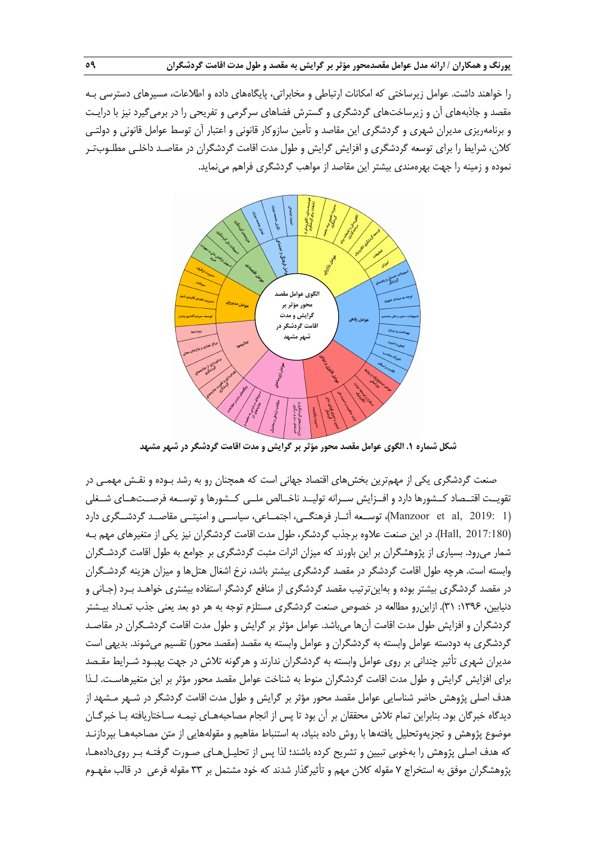را خواهند داشت. عوامل زيرساختي كه امكانات ارتباطي و مخابراتي، پايگاههاي داده و اطلاعات، مسيرهاي دسترسي بـه مقصد و جاذبههاي آن و زيرساختهاي گردشگري و گسترش فضاهاي سرگرمي و تفريحي را در برميگيرد نيز با درايـت و برنامهريزي مديران شهري و گردشگري اين مقاصد و تأمين سازوكار قانوني و اعتبار آن توسط عوامل قانوني و دولتـي كلان، شرايط را براي توسعه گردشگري و افزايش گرايش و طول مدت اقامت گردشگران در مقاصـد داخلـي مطلـوبتـر نموده و زمينه را جهت بهرهمندي بيشتر اين مقاصد از مواهب گردشگري فراهم مينمايد.



**شكل شماره .1 الگوي عوامل مقصد محور مؤثر بر گرايش و مدت اقامت گردشگر در شهر مشهد** 

صنعت گردشگري يكي از مهمترين بخشهاي اقتصاد جهاني است كه همچنان رو به رشد بـوده و نقـش مهمـي در تقويــت اقتــصاد كــشورها دارد و افــزايش ســرانه توليــد ناخــالص ملــي كــشورها و توســعه فرصــتهــاي شــغلي (1 2019: ,al et Manzoor(، توســعه آثــار فرهنگــي، اجتمــاعي، سياســي و امنيتــي مقاصــد گردشــگري دارد (2017:180 ,Hall(. در اين صنعت علاوه برجذب گردشگر، طول مدت اقامت گردشگران نيز يكي از متغيرهاي مهم بـه شمار ميرود. بسياري از پژوهشگران بر اين باورند كه ميزان اثرات مثبت گردشگري بر جوامع به طول اقامت گردشـگران وابسته است. هرچه طول اقامت گردشگر در مقصد گردشگري بيشتر باشد، نرخ اشغال هتلها و ميزان هزينه گردشـگران در مقصد گردشگري بيشتر بوده و بهاينترتيب مقصد گردشگري از منافع گردشگر استفاده بيشتري خواهـد بـرد (جـاني و دنيابين، ١٣٩۶: ٣١). ازاين رو مطالعه در خصوص صنعت گردشگري مستلزم توجه به هر دو بعد يعني جذب تعـداد بيـشتر گردشگران و افزايش طول مدت اقامت آنها ميباشد. عوامل مؤثر بر گرايش و طول مدت اقامت گردشـگران در مقاصـد گردشگري به دودسته عوامل وابسته به گردشگران و عوامل وابسته به مقصد (مقصد محور) تقسيم ميشوند. بديهي است مديران شهري تأثير چنداني بر روي عوامل وابسته به گردشگران ندارند و هرگونه تلاش در جهت بهبـود شـرايط مقـصد براي افزايش گرايش و طول مدت اقامت گردشگران منوط به شناخت عوامل مقصد محور مؤثر بر اين متغيرهاسـت . لـذا هدف اصلي پژوهش حاضر شناسايي عوامل مقصد محور مؤثر بر گرايش و طول مدت اقامت گردشگر در شـهر مـشهد از ديدگاه خبرگان بود. بنابراين تمام تلاش محققان بر آن بود تا پس از انجام مصاحبههـاي نيمـه سـاختاريافته بـا خبرگـان موضوع پژوهش و تجزيهوتحليل يافتهها با روش داده بنياد، به استنباط مفاهيم و مقولههايي از متن مصاحبههـا بپردازنـد كه هدف اصلي پژوهش را بهخوبي تبيين و تشريح كرده باشند؛ لذا پس از تحليـلهـاي صـورت گرفتـه بـر رويدادههـا، پژوهشگران موفق به استخراج 7 مقوله كلان مهم و تأثيرگذار شدند كه خود مشتمل بر 33 مقوله فرعي در قالب مفهـوم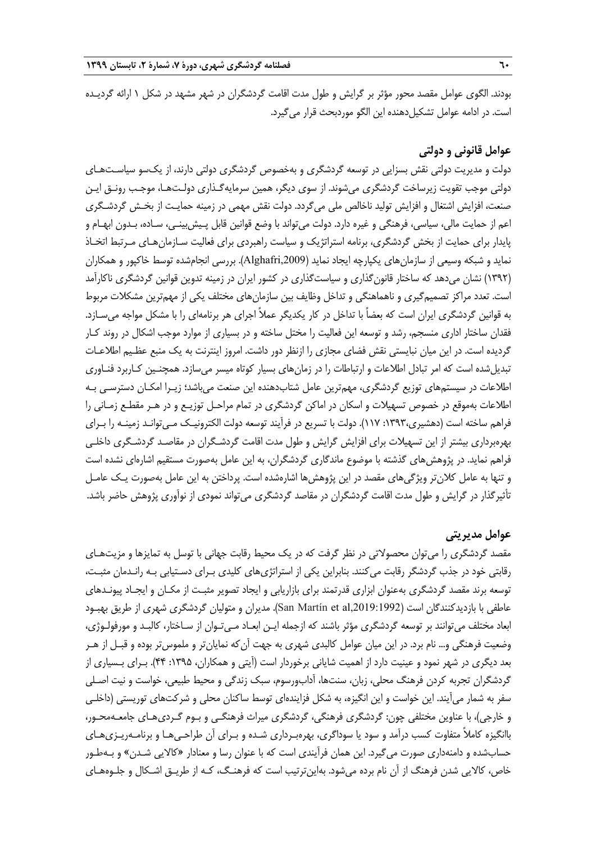بودند. الگوی عوامل مقصد محور مؤثر بر گرايش و طول مدت اقامت گردشگران در شهر مشهد در شكل ۱ ارائه گرديـده است. در ادامه عوامل تشكيلدهنده اين الگو موردبحث قرار ميگيرد.

## **عوامل قانوني و دولتي**

دولت و مديريت دولتي نقش بسزايي در توسعه گردشگري و بهخصوص گردشگري دولتي دارند، از يكسو سياسـتهـاي دولتي موجب تقويت زيرساخت گردشگري ميشوند. از سوي ديگر، همين سرمايهگـذاري دولـتهـا، موجـب رونـق ايـن صنعت، افزايش اشتغال و افزايش توليد ناخالص ملي ميگردد. دولت نقش مهمي در زمينه حمايـت از بخـش گردشـگري اعم از حمايت مالي، سياسي، فرهنگي و غيره دارد. دولت ميتواند با وضع قوانين قابل پـيشبينـي، سـاده، بـدون ابهـام و پايدار براي حمايت از بخش گردشگري، برنامه استراتژيك و سياست راهبردي براي فعاليت سـازمانهـاي مـرتبط اتخـاذ نمايد و شبكه وسيعي از سازمانهاي يكپارچه ايجاد نمايد (,2009Alghafri(. بررسي انجامشده توسط خاكپور و همكاران (1392) نشان ميدهد كه ساختار قانونگذاري و سياستگذاري در كشور ايران در زمينه تدوين قوانين گردشگري ناكارآمد است. تعدد مراكز تصميمگيري و ناهماهنگي و تداخل وظايف بين سازمانهاي مختلف يكي از مهمترين مشكلات مربوط به قوانين گردشگري ايران است كه بعضاً با تداخل در كار يكديگر عملاً اجراي هر برنامهاي را با مشكل مواجه ميسـازد. فقدان ساختار اداري منسجم، رشد و توسعه اين فعاليت را مختل ساخته و در بسياري از موارد موجب اشكال در روند كـار گرديده است. در اين ميان نبايستي نقش فضاي مجازي را ازنظر دور داشت . امروز اينترنت به يك منبع عظـيم اطلاعـات تبديلشده است كه امر تبادل اطلاعات و ارتباطات را در زمانهاي بسيار كوتاه ميسر ميسازد. همچنـين كـاربرد فنـاوري اطلاعات در سيستمهاي توزيع گردشگري، مهمترين عامل شتابدهنده اين صنعت ميباشد؛ زيـرا امكـان دسترسـي بـه اطلاعات بهموقع در خصوص تسهيلات و اسكان در اماكن گردشگري در تمام مراحـل توزيـع و در هـر مقطـع زمـاني را فراهم ساخته است (دهشيري:1393، 117). دولت با تسريع در فرآيند توسعه دولت الكترونيـك مـيتوانـد زمينـه را بـراي بهرهبرداري بيشتر از اين تسهيلات براي افزايش گرايش و طول مدت اقامت گردشـگران در مقاصـد گردشـگري داخلـي فراهم نمايد. در پژوهشهاي گذشته با موضوع ماندگاري گردشگران، به اين عامل به صورت مستقيم اشارهاي نشده است و تنها به عامل كلانتر ويژگيهاي مقصد در اين پژوهشها اشارهشده است. پرداختن به اين عامل بهصورت يـك عامـل تأثيرگذار در گرايش و طول مدت اقامت گردشگران در مقاصد گردشگري ميتواند نمودي از نوآوري پژوهش حاضر باشد.

## **عوامل مديريتي**

مقصد گردشگري را ميتوان محصولاتي در نظر گرفت كه در يك محيط رقابت جهاني با توسل به تمايزها و مزيتهـاي رقابتي خود در جذب گردشگر رقابت ميكنند. بنابراين يكي از استراتژيهاي كليدي بـراي دسـتيابي بـه رانـدمان مثبـت، توسعه برند مقصد گردشگري بهعنوان ابزاري قدرتمند براي بازاريابي و ايجاد تصوير مثبـت از مكـان و ايجـاد پيونـدهاي عاطفي با بازديدكنندگان است (San Martín et al,2019:1992). مديران و متوليان گردشگري شهري از طريق بهبـود ابعاد مختلف ميتوانند بر توسعه گردشگري مؤثر باشند كه ازجمله ايـن ابعـاد مـيتـوان از سـاختار، كالبـد و مورفولـوژي، وضعيت فرهنگي و... نام برد. در اين ميان عوامل كالبدي شهري به جهت آنكه نمايانتر و ملموستر بوده و قبـل از هـر بعد ديگري در شهر نمود و عينيت دارد از اهميت شاياني برخوردار است (آيتي و همكاران، :1395 44). بـراي بـسياري از گردشگران تجربه كردن فرهنگ محلي، زبان، سنتها، آدابورسوم، سبك زندگي و محيط طبيعي، خواست و نيت اصـلي سفر به شمار ميآيند. اين خواست و اين انگيزه، به شكل فزايندهاي توسط ساكنان محلي و شركتهاي توريستي (داخلـي و خارجي)، با عناوين مختلفي چون: گردشگري فرهنگي، گردشگري ميراث فرهنگـي و بـوم گـرديهـاي جامعـهمحـور، باانگيزه كاملاً متفاوت كسب درآمد و سود يا سوداگري، بهرهبـرداري شـده و بـراي آن طراحـيهـا و برنامـهريـزيهـاي حسابشده و دامنهداري صورت ميگيرد. اين همان فرآيندي است كه با عنوان رسا و معنادار «كالايي شـدن» و بـهطـور خاص، كالايي شدن فرهنگ از آن نام برده ميشود. بهاينترتيب است كه فرهنـگ، كـه از طريـق اشـكال و جلـوههـاي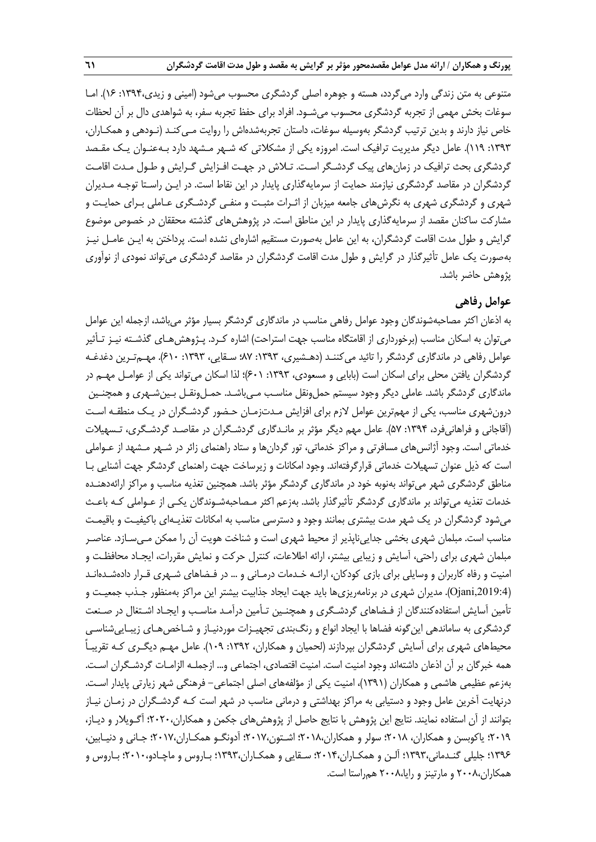متنوعي به متن زندگي وارد ميگردد، هسته و جوهره اصلي گردشگري محسوب ميشود (اميني و زيدي:1394، 16). امـا سوغات بخش مهمي از تجربه گردشگري محسوب ميشـود. افراد براي حفظ تجربه سفر، به شواهدي دال بر آن لحظات خاص نياز دارند و بدين ترتيب گردشگر بهوسيله سوغات، داستان تجربهشدهاش را روايت مـيكنـد (نـودهي و همكـاران، :1393 119). عامل ديگر مديريت ترافيك است. امروزه يكي از مشكلاتي كه شـهر مـشهد دارد بـه عنـوان يـك مقـصد گردشگري بحث ترافيك در زمانهاي پيك گردشـگر اسـت. تـلاش در جهـت افـزايش گـرايش و طـول مـدت اقامـت گردشگران در مقاصد گردشگري نيازمند حمايت از سرمايهگذاري پايدار در اين نقاط است. در ايـن راسـتا توجـه مـديران شهري و گردشگري شهري به نگرشهاي جامعه ميزبان از اثـرات مثبـت و منفـي گردشـگري عـاملي بـراي حمايـت و مشاركت ساكنان مقصد از سرمايهگذاري پايدار در اين مناطق است. در پژوهشهاي گذشته محققان در خصوص موضوع گرايش و طول مدت اقامت گردشگران، به اين عامل به صورت مستقيم اشارهاي نشده است. پرداختن به ايـن عامـل نيـز بهصورت يك عامل تأثيرگذار در گرايش و طول مدت اقامت گردشگران در مقاصد گردشگري ميتواند نمودي از نوآوري پژوهش حاضر باشد.

# **عوامل رفاهي**

به اذعان اكثر مصاحبهشوندگان وجود عوامل رفاهي مناسب در ماندگاري گردشگر بسيار مؤثر ميباشد، ازجمله اين عوامل ميتوان به اسكان مناسب (برخورداري از اقامتگاه مناسب جهت استراحت) اشاره كـرد. پـژوهشهـاي گذشـته نيـز تـأثير عوامل رفاهي در ماندگاري گردشگر را تائيد مي كننـد (دهـشيري، ١٣٩٣: ٧٠٪ سـقايي، ١٣٩٣: ۶١٠). مهـمتـرين دغدغـه گردشگران يافتن محلي براي اسكان است (بابايي و مسعودي، ١٣٩٣: ٤٠١)؛ لذا اسكان ميتواند يكي از عوامـل مهـم در ماندگاري گردشگر باشد. عاملي ديگر وجود سيستم حملونقل مناسـب مـيباشـد. حمـلونقـل بـينشـهري و همچنـين درونشهري مناسب، يكي از مهمترين عوامل لازم براي افزايش مـدتزمـان حـضور گردشـگران در يـك منطقـه اسـت (آقاجاني و فراهانيفرد، :1394 57). عامل مهم ديگر مؤثر بر مانـدگاري گردشـگران در مقاصـد گردشـگري، تـسهيلات خدماتي است. وجود آژانسهاي مسافرتي و مراكز خدماتي، تور گردانها و ستاد راهنماي زائر در شـهر مـشهد از عـ واملي است كه ذيل عنوان تسهيلات خدماتي قرارگرفتهاند. وجود امكانات و زيرساخت جهت راهنماي گردشگر جهت آشنايي بـا مناطق گردشگري شهر ميتواند بهنوبه خود در ماندگاري گردشگر مؤثر باشد. همچنين تغذيه مناسب و مراكز ارائهدهنـده خدمات تغذيه ميتواند بر ماندگاري گردشگر تأثيرگذار باشد. بهزعم اكثر مـصاحبهشـوندگان يكـي از عـواملي كـه باعـث ميشود گردشگران در يك شهر مدت بيشتري بمانند وجود و دسترسي مناسب به امكانات تغذيـهاي باكيفيـت و باقيمـت مناسب است. مبلمان شهري بخشي جداييناپذير از محيط شهري است و شناخت هويت آن را ممكن مـيسـازد. عناصـر مبلمان شهري براي راحتي، آسايش و زيبايي بيشتر، ارائه اطلاعات، كنترل حركت و نمايش مقررات، ايجـاد محافظـت و امنيت و رفاه كاربران و وسايلي براي بازي كودكان، ارائـه خـدمات درمـاني و ... در فـضاهاي شـهري قـرار دادهشـدهانـد (,2019:4Ojani(. مديران شهري در برنامهريزيها بايد جهت ايجاد جذابيت بيشتر اين مراكز بهمنظور جـذب جمعيـت و تأمين آسايش استفادهكنندگان از فـضاهاي گردشـگري و همچنـين تـأمين درآمـد مناسـب و ايجـاد اشـتغال در صـنعت گردشگري به ساماندهي اينگونه فضاها با ايجاد انواع و رنگبندي تجهيـزات موردنيـاز و شـاخصهـاي زيبـاييشناسـي محيطهاي شهري براي آسايش گردشگران بپردازند (لحميان و همكاران، :1392 109). عامل مهـم ديگـري كـه تقريبـاً همه خبرگان بر آن اذعان داشتهاند وجود امنيت است. امنيت اقتصادي، اجتماعي و... ازجملـه الزامـات گردشـگران اسـت. بهزعم عظيمي هاشمي و همكاران (1391)، امنيت يكي از مؤلفههاي اصلي اجتماعي- فرهنگي شهر زيارتي پايدار اسـت. درنهايت آخرين عامل وجود و دستيابي به مراكز بهداشتي و درماني مناسب در شهر است كـه گردشـگران در زمـان نيـاز بتوانند از آن استفاده نمايند. نتايج اين پژوهش با نتايج حاصل از پژوهشهاي جكمن و همكاران2020،؛ آگـويلار و ديـاز، 2019؛ ياكوبسن و همكاران، 2018؛ سولر و همكاران2018،؛ اشـتون2017،؛ آدونگـو همكـاران2017،؛ جـاني و دنيـابين، 1396؛ جليلي گنـدماني1393،؛ آلـن و همكـاران2014،؛ سـقايي و همكـاران1393،؛ بـاروس و ماچـادو2010،؛ بـاروس و همكاران2008، و مارتينز و رايا2008، همراستا است.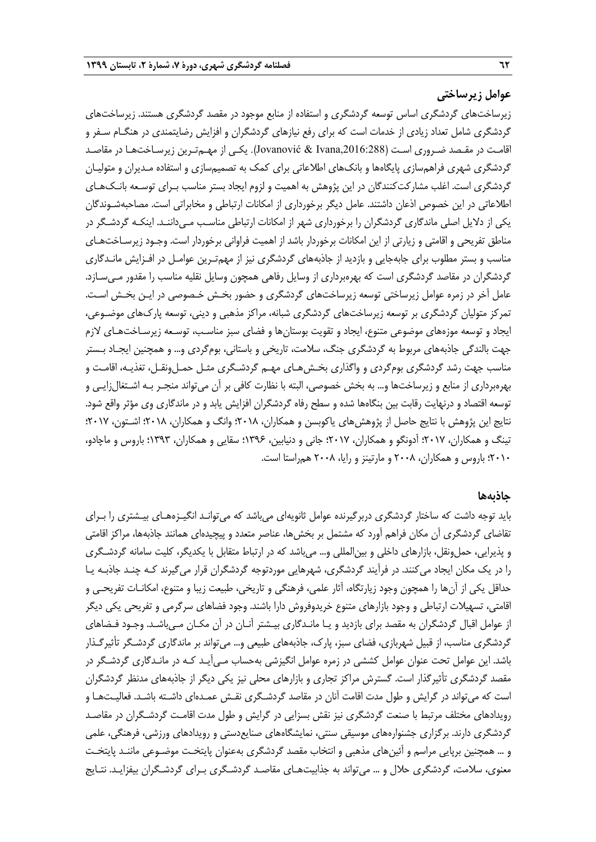#### **عوامل زيرساختي**

زيرساختهاي گردشگري اساس توسعه گردشگري و استفاده از منابع موجود در مقصد گردشگر ي هستند. زيرساختهاي گردشگري شامل تعداد زيادي از خدمات است كه براي رفع نيازهاي گردشگران و افزايش رضايتمندي در هنگـام سـفر و اقامـت در مقـصد ضـروري اسـت (,2016:288Ivana & Jovanović(. يكـي از مهـمتـرين زيرسـاختهـا در مقاصـد گردشگري شهري فراهمسازي پايگاهها و بانكهاي اطلاعاتي براي كمك به تصميمسازي و استفاده مـديران و متوليـان گردشگري است. اغلب مشاركتكنندگان در اين پژوهش به اهميت و لزوم ايجاد بستر مناسب بـراي توسـعه بانـكهـاي اطلاعاتي در اين خصوص اذعان داشتند. عامل ديگر برخورداري از امكانات ارتباطي و مخابراتي است. مصاحبهشـوندگان يكي از دلايل اصلي ماندگاري گردشگران را برخورداري شهر از امكانات ارتباطي مناسـب مـيداننـد. اينكـه گردشـگر در مناطق تفريحي و اقامتي و زيارتي از اين امكانات برخوردار باشد از اهميت فراواني برخوردار است . وجـود زيرسـاختهـاي مناسب و بستر مطلوب براي جابهجايي و بازديد از جاذبههاي گردشگري نيز از مهمتـرين عوامـل در افـزايش مانـدگاري گردشگران در مقاصد گردشگري است كه بهرهبرداري از وسايل رفاهي همچون وسايل نقليه مناسب را مقدور مـيسـازد. عامل آخر در زمره عوامل زيرساختي توسعه زيرساختهاي گردشگري و حضور بخـش خـصوصي در ايـن بخـش اسـت. تمركز متوليان گردشگري بر توسعه زيرساختهاي گردشگري شبانه، مراكز مذهبي و ديني، توسعه پاركهاي موضـوعي، ايجاد و توسعه موزههاي موضوعي متنوع، ايجاد و تقويت بوستانها و فضاي سبز مناسـب، توسـعه زيرسـاختهـاي لازم جهت بالندگي جاذبههاي مربوط به گردشگري جنگ، سلامت، تاريخي و باستاني، بومگردي و... و همچنين ايجـاد بـستر مناسب جهت رشد گردشگري بومگردي و واگذاري بخـشهـاي مهـم گردشـگري مثـل حمـلونقـل، تغذيـه، اقامـت و بهرهبرداري از منابع و زيرساختها و... به بخش خصوصي، البته با نظارت كافي بر آن ميتواند منجـر بـه اشـتغالزايـي و توسعه اقتصاد و درنهايت رقابت بين بنگاهها شده و سطح رفاه گردشگران افزايش يابد و در ماندگاري وي مؤثر واقع شود . نتايج اين پژوهش با نتايج حاصل از پژوهشهاي ياكوبسن و همكاران، 2018؛ وانگ و همكاران، 2018؛ اشـتون، 2017؛ تينگ و همكاران، 2017؛ آدونگو و همكاران، 2017؛ جاني و دنيابين، 1396؛ سقايي و همكاران، 1393؛ باروس و ماچادو، 2010؛ باروس و همكاران، 2008 و مارتينز و رايا، 2008 همراستا است.

#### **جاذبهها**

بايد توجه داشت كه ساختار گردشگري دربرگيرنده عوامل ثانويهاي ميباشد كه ميتوانـد انگيـزههـاي بيـشتري را بـراي تقاضاي گردشگري آن مكان فراهم آورد كه مشتمل بر بخشها، عناصر متعدد و پيچيدهاي همانند جاذبهها، مراكز اقامتي و پذيرايي، حملونقل، بازارهاي داخلي و بينالمللي و... ميباشد كه در ارتباط متقابل با يكديگر، كليت سامانه گردشـگري را در يك مكان ايجاد ميكنند. در فرآيند گردشگري، شهرهايي موردتوجه گردشگران قرار ميگيرند كـه چنـد جاذبـه يـا حداقل يكي از آنها را همچون وجود زيارتگاه، آثار علمي، فرهنگي و تاريخي، طبيعت زيبا و متنوع، امكانـات تفريحـي و اقامتي، تسهيلات ارتباطي و وجود بازارهاي متنوع خريدوفروش دارا باشند . وجود فضاهاي سرگرمي و تفريحي يكي ديگر از عوامل اقبال گردشگران به مقصد براي بازديد و يـا مانـدگاري بيـشتر آنـان در آن مكـان مـيباشـد. وجـود فـضاهاي گردشگري مناسب، از قبيل شهربازي، فضاي سبز، پارك، جاذبههاي طبيعي و... ميتواند بر ماندگاري گردشـگر تأثيرگـذار باشد. اين عوامل تحت عنوان عوامل كششي در زمره عوامل انگيزشي بهحساب مـيآيـد كـه در مانـدگاري گردشـگر در مقصد گردشگري تأثيرگذار است. گسترش مراكز تجاري و بازارهاي محلي نيز يكي ديگر از جاذبههاي مدنظر گردشگران است كه ميتواند در گرايش و طول مدت اقامت آنان در مقاصد گردشـگري نقـش عمـدهاي داشـته باشـد. فعاليـتهـا و رويدادهاي مختلف مرتبط با صنعت گردشگري نيز نقش بسزايي در گرايش و طول مدت اقامـت گردشـگران در مقاصـد گردشگري دارند. برگزاري جشنوارههاي موسيقي سنتي، نمايشگاههاي صنايعدستي و رويدادهاي ورزشي، فرهنگي، علمي و ... همچنين برپايي مراسم و آئينهاي مذهبي و انتخاب مقصد گردشگري بهعنوان پايتخـت موضـوعي ماننـد پايتخـت معنوي، سلامت، گردشگري حلال و ... ميتواند به جذابيتهـاي مقاصـد گردشـگري بـراي گردشـگران بيفزايـد . نتـايج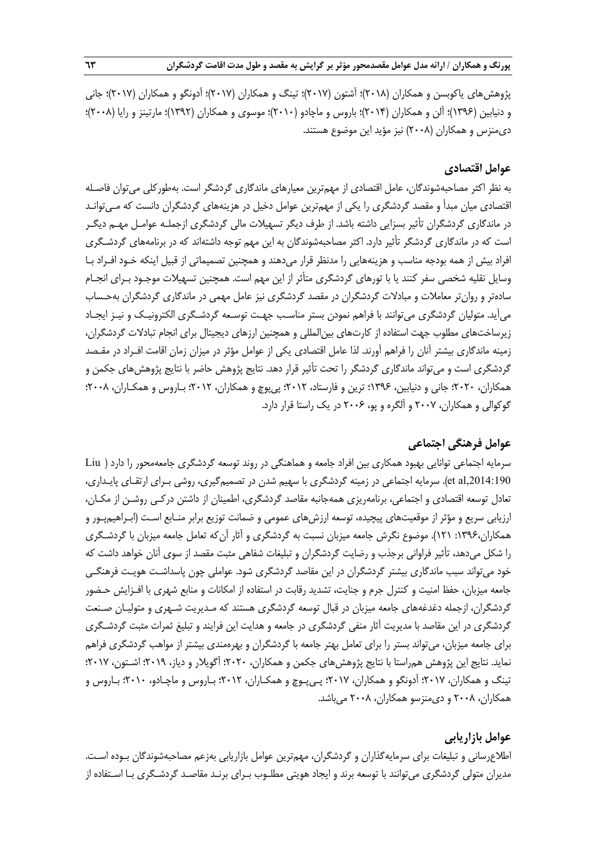پژوهشهاي ياكوبسن و همكاران (2018)؛ آشتون (2017)؛ تينگ و همكاران (2017)؛ آدونگو و همكاران (2017)؛ جاني و دنيابين (1396)؛ آلن و همكاران (2014)؛ باروس و ماچادو (2010)؛ موسوي و همكاران (1392)؛ مارتينز و رايا (2008)؛ ديمنزس و همكاران (2008) نيز مؤيد اين موضوع هستند.

## **عوامل اقتصادي**

به نظر اكثر مصاحبهشوندگان، عامل اقتصادي از مهمترين معيارهاي ماندگاري گردشگر است. بهطوركلي ميتوان فاصـله اقتصادي ميان مبدأ و مقصد گردشگري را يكي از مهم ترين عوامل دخيل در هزينههاي گردشگران دانست كه مـيتوانـد در ماندگاري گردشگران تأثير بسزايي داشته باشد. از طرف ديگر تسهيلات مالي گردشگري ازجملـه عوامـل مهـم ديگـر است كه در ماندگاري گردشگر تأثير دارد. اكثر مصاحبهشوندگان به اين مهم توجه داشتهاند كه در برنامههاي گردشـگري افراد بيش از همه بودجه مناسب و هزينههايي را مدنظر قرار ميدهند و همچنين تصميماتي از قبيل اينكه خـود افـراد بـا وسايل نقليه شخصي سفر كنند يا با تورهاي گردشگري متأثر از اين مهم است. همچنين تسهيلات موجـود بـراي انجـام سادهتر و روانتر معاملات و مبادلات گردشگران در مقصد گردشگري نيز عامل مهمي در ماندگاري گردشگران بهحـساب ميآيد. متوليان گردشگري ميتوانند با فراهم نمودن بستر مناسـب جهـت توسـعه گردشـگري الكترونيـك و نيـز ايجـاد زيرساختهاي مطلوب جهت استفاده از كارتهاي بينالمللي و همچنين ارزهاي ديجيتال براي انجام تبادلات گردشگران، زمينه ماندگاري بيشتر آنان را فراهم آورند. لذا عامل اقتصادي يكي از عوامل مؤثر در ميزان زمان اقامت افـراد در مقـصد گردشگري است و ميتواند ماندگاري گردشگر را تحت تأثير قرار دهد. نتايج پژوهش حاضر با نتايج پژوهشهاي جكمن و همكاران، 2020؛ جاني و دنيابين، 1396؛ ترين و فارستاد، 2012؛ پيپوچ و همكاران، 2012 ؛ بـاروس و همكـاران، 2008؛ گوكوالي و همكاران، 2007 و آلگره و پو، 2006 در يك راستا قرار دارد.

# **عوامل فرهنگي اجتماعي**

سرمايه اجتماعي توانايي بهبود همكاري بين افراد جامعه و هماهنگي در روند توسعه گردشگري جامعهمحور را دارد ( Liu et al,2014:190). سرمايه اجتماعي در زمينه گردشگري با سهيم شدن در تصميمگيري، روشي بـراي ارتقـاي پايـداري، تعادل توسعه اقتصادي و اجتماعي، برنامهريزي همهجانبه مقاصد گردشگري، اطمينان از داشتن دركـي روشـن از مكـان، ارزيابي سريع و مؤثر از موقعيتهاي پيچيده، توسعه ارزشهاي عمومي و ضمانت توزيع برابر منـابع اسـت (ابـراهيمپـور و همكاران1396، : 121). موضوع نگرش جامعه ميزبان نسبت به گردشگري و آثار آن كه تعامل جامعه ميزبان با گردشـگري را شكل ميدهد، تأثير فراواني برجذب و رضايت گردشگران و تبليغات شفاهي مثبت مقصد از سوي آنان خواهد داشت كه خود ميتواند سبب ماندگاري بيشتر گردشگران در اين مقاصد گردشگري شود. عواملي چون پاسداشـت هويـت فرهنگـي جامعه ميزبان، حفظ امنيت و كنترل جرم و جنايت، تشديد رقابت در استفاده از امكانات و منابع شهري با افـزايش حـضور گردشگران، ازجمله دغدغههاي جامعه ميزبان در قبال توسعه گردشگري هستند كه مـديريت شـهري و متوليـان صـنعت گردشگري در اين مقاصد با مديريت آثار منفي گردشگري در جامعه و هدايت اين فرايند و تبليغ ثمرات مثبت گردشـگري براي جامعه ميزبان، ميتواند بستر را براي تعامل بهتر جامعه با گردشگران و بهرهمندي بيشتر از مواهب گردشگري فراهم نمايد. نتايج اين پژوهش همراستا با نتايج پژوهشهاي جكمن و همكاران، 2020؛ آگويلار و دياز، 2019؛ اشـتون، 2017؛ تينگ و همكاران، 2017؛ آدونگو و همكاران، 2017؛ پـيپـوچ و همكـاران، 2012؛ بـاروس و ماچـادو، 2010؛ بـاروس و همكاران، 2008 و ديمنزسو همكاران، 2008 ميباشد.

# **عوامل بازاريابي**

اطلاعرساني و تبليغات براي سرمايهگذاران و گردشگران، مهمترين عوامل بازاريابي بهزعم مصاحبهشوندگان بـوده اسـت. مديران متولي گردشگري ميتوانند با توسعه برند و ايجاد هويتي مطلـوب بـراي برنـد مقاصـد گردشـگري بـا اسـتفاده از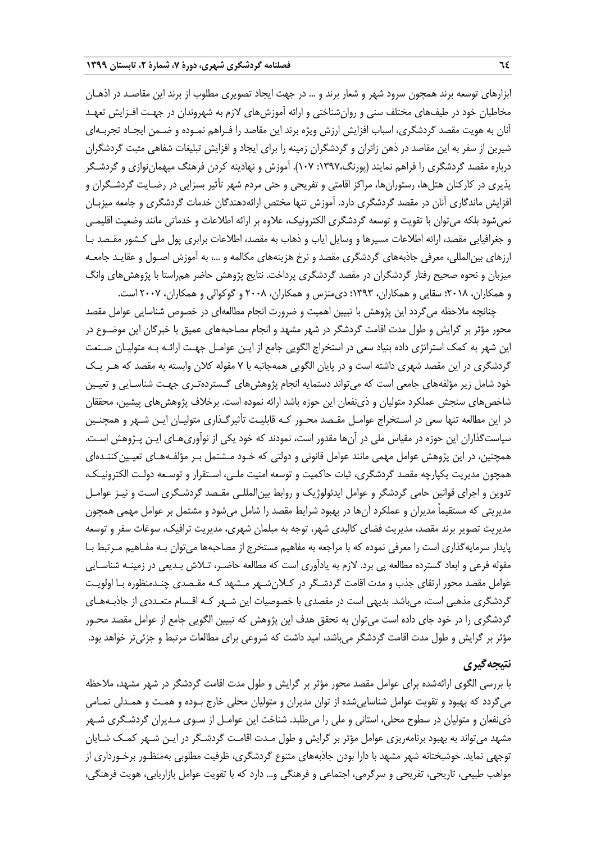ابزارهاي توسعه برند همچون سرود شهر و شعار برند و ... در جهت ايجاد تصويري مطلوب از برند اين مقاصـد در اذهـان مخاطبان خود در طيفهاي مختلف سني و روانشناختي و ارائه آموزشهاي لازم به شهروندان در جهـت افـزايش تعهـد آنان به هويت مقصد گردشگري، اسباب افزايش ارزش ويژه برند اين مقاصد را فـراهم نمـوده و ضـمن ايجـاد تجربـهاي شيرين از سفر به اين مقاصد در ذهن زائران و گردشگران زمينه را براي ايجاد و افزايش تبليغات شفاهي مثبت گردشگران درباره مقصد گردشگري را فراهم نمايند (پورنگ:1397، 107). آموزش و نهادينه كردن فرهنگ ميهماننوازي و گردشـگر پذيري در كاركنان هتلها، رستورانها، مراكز اقامتي و تفريحي و حتي مردم شهر تأثير بسزايي در رضـايت گردشـگران و افزايش ماندگاري آنان در مقصد گردشگري دارد. آموزش تنها مختص ارائهدهندگان خدمات گردشگري و جامعه ميزبـان نميشود بلكه ميتوان با تقويت و توسعه گردشگري الكترونيك، علاوه بر ارائه اطلاعات و خدماتي مانند وضعيت اقليمـي و جغرافيايي مقصد، ارائه اطلاعات مسيرها و وسايل اياب و ذهاب به مقصد، اطلاعات برابري پول ملي كـشور مقـصد بـا ارزهاي بينالمللي، معرفي جاذبههاي گردشگري مقصد و نرخ هزينههاي مكالمه و ،... به آموزش اصـول و عقايـد جامعـه ميزبان و نحوه صحيح رفتار گردشگران در مقصد گردشگري پرداخت. نتايج پژوهش حاضر همراستا با پژوهشهاي وانگ و همكاران، 2018 ؛ سقايي و همكاران، 1393؛ ديمنزس و همكاران، 2008 و گوكوالي و همكاران، 2007 است.

چنانچه ملاحظه ميگردد اين پژوهش با تبيين اهميت و ضرورت انجام مطالعهاي در خصوص شناسايي عوامل مقصد محور مؤثر بر گرايش و طول مدت اقامت گردشگر در شهر مشهد و انجام مصاحبههاي عميق با خبرگان اين موضـوع در اين شهر به كمك استراتژي داده بنياد سعي در استخراج الگويي جامع از ايـن عوامـل جهـت ارائـه بـه متوليـان صـنعت گردشگري در اين مقصد شهري داشته است و در پايان الگويي همهجانبه با 7 مقوله كلان وابسته به مقصد كه هـر يـك خود شامل زير مؤلفههاي جامعي است كه مي تواند دستمايه انجام پژوهشهاي گـستردهتـري جهـت شناسـايي و تعيـين شاخصهاي سنجش عملكرد متوليان و ذينفعان اين حوزه باشد ارائه نموده است. برخلاف پژوهشهاي پيشين، محققان در اين مطالعه تنها سعي در اسـتخراج عوامـل مقـصد محـور كـه قابليـت تأثيرگـذاري متوليـان ايـن شـهر و همچنـين سياستگذاران اين حوزه در مقياس ملي در آنها مقدور است، نمودند كه خود يكي از نوآوريهـاي ايـن پـژوهش اسـت. همچنين، در اين پژوهش عوامل مهمي مانند عوامل قانوني و دولتي كه خـود مـشتمل بـر مؤلفـه هـاي تعيـينكننـدهاي همچون مديريت يكپارچه مقصد گردشگري، ثبات حاكميت و توسعه امنيت ملـي، اسـتقرار و توسـعه دولـت الكترونيـك، تدوين و اجراي قوانين حامي گردشگر و عوامل ايدئولوژيك و روابط بينالمللـي مقـصد گردشـگري اسـت و نيـز عوامـل مديريتي كه مستقيماً مديران و عملكرد آنها در بهبود شرايط مقصد را شامل ميشود و مشتمل بر عوامل مهمي همچون مديريت تصوير برند مقصد، مديريت فضاي كالبدي شهر، توجه به مبلمان شهري، مديريت ترافيك، سوغات سفر و توسعه پايدار سرمايهگذاري است را معرفي نموده كه با مراجعه به مفاهيم مستخرج از مصاحبهها ميتوان بـه مفـاهيم مـرتبط بـا مقوله فرعي و ابعاد گسترده مطالعه پي برد. لازم به يادآوري است كه مطالعه حاضـر، تـلاش بـديعي در زمينـه شناسـايي عوامل مقصد محور ارتقاي جذب و مدت اقامت گردشـگر در كـلان شـهر مـشهد كـه مقـصدي چنـدمنظوره بـا اولويـت گردشگري مذهبي است، ميباشد. بديهي است در مقصدي با خصوصيات اين شـهر كـه اقـسام متعـددي از جاذبـه هـاي گردشگري را در خود جاي داده است ميتوان به تحقق هدف اين پژوهش كه تبيين الگويي جامع از عوامل مقصد محـور مؤثر بر گرايش و طول مدت اقامت گردشگر ميباشد، اميد داشت كه شروعي براي مطالعات مرتبط و جزئيتر خواهد بود.

# **نتيجهگيري**

با بررسي الگوي ارائهشده براي عوامل مقصد محور مؤثر بر گرايش و طول مدت اقامت گردشگر در شهر مشهد، ملاحظه ميگردد كه بهبود و تقويت عوامل شناساييشده از توان مديران و متوليان محلي خارج بـوده و همـت و همـدلي تمـامي ذينفعان و متوليان در سطوح محلي، استاني و ملي را ميطلبد. شناخت اين عوامـل از سـوي مـديران گردشـگري شـهر مشهد ميتواند به بهبود برنامهريزي عوامل مؤثر بر گرايش و طول مـدت اقامـت گردشـگر در ايـن شـهر كمـك شـايان توجهي نمايد. خوشبختانه شهر مشهد با دارا بودن جاذبههاي متنوع گردشگري، ظرفيت مطلوبي بهمنظـور برخـورداري از مواهب طبيعي، تاريخي، تفريحي و سرگرمي، اجتماعي و فرهنگي و… دارد كه با تقويت عوامل بازاريابي، هويت فرهنگي،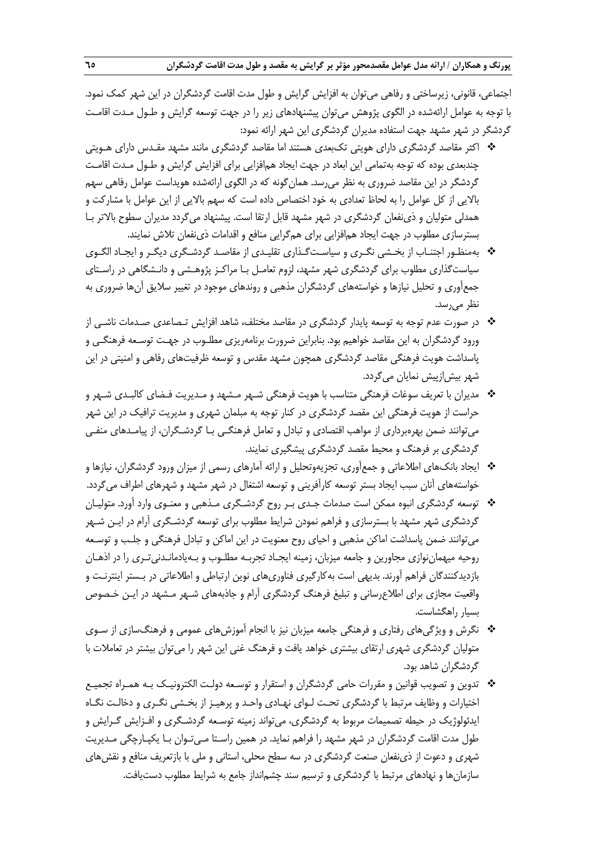اجتماعي، قانوني، زيرساختي و رفاهي ميتوان به افزايش گرايش و طول مدت اقامت گردشگران در اين شهر كمك نمود. با توجه به عوامل ارائهشده در الگوي پژوهش ميتوان پيشنهادهاي زير را در جهت توسعه گرايش و طـول مـدت اقامـت گردشگر در شهر مشهد جهت استفاده مديران گردشگري اين شهر ارائه نمود:

- اكثر مقاصد گردشگري داراي هويتي تكبعدي هستند اما مقاصد گردشگري مانند مشهد مقـدس داراي هـويتي چندبعدي بوده كه توجه بهتمامي اين ابعاد در جهت ايجاد همافزايي براي افزايش گرايش و طـول مـدت اقامـت گردشگر در اين مقاصد ضروري به نظر ميرسد. همانگونه كه در الگوي ارائهشده هويداست عوامل رفاهي سهم بالايي از كل عوامل را به لحاظ تعدادي به خود اختصاص داده است كه سهم بالايي از اين عوامل با مشاركت و همدلي متوليان و ذينفعان گردشگري در شهر مشهد قابل ارتقا است. پيشنهاد ميگردد مديران سطوح بالاتر بـا بسترسازي مطلوب در جهت ايجاد همافزايي براي همگرايي منافع و اقدامات ذينفعان تلاش نمايند.
- بهمنظـور اجتنـاب از بخـشي نگـري و سياسـتگـذاري تقليـدي از مقاصـد گردشـگري ديگـر و ايجـاد الگـوي سياستگذاري مطلوب براي گردشگري شهر مشهد، لزوم تعامـل بـا مراكـز پژوهـشي و دانـشگاهي در راسـتاي جمعآوري و تحليل نيازها و خواستههاي گردشگران مذهبي و روندهاي موجود در تغيير سلايق آن ها ضروري به نظر ميرسد.
- در صورت عدم توجه به توسعه پايدار گردشگري در مقاصد مختلف، شاهد افزايش تـصاعدي صـدمات ناشـي از ورود گردشگران به اين مقاصد خواهيم بود. بنابراين ضرورت برنامهريزي مطلـوب در جهـت توسـعه فرهنگـي و پاسداشت هويت فرهنگي مقاصد گردشگري همچون مشهد مقدس و توسعه ظرفيتهاي رفاهي و امنيتي در اين شهر بيشازپيش نمايان ميگردد.
- مديران با تعريف سوغات فرهنگي متناسب با هويت فرهنگي شـهر مـشهد و مـديريت فـضاي كالبـدي شـهر و حراست از هويت فرهنگي اين مقصد گردشگري در كنار توجه به مبلمان شهري و مديريت ترافيك در اين شهر ميتوانند ضمن بهرهبرداري از مواهب اقتصادي و تبادل و تعامل فرهنگـي بـا گردشـگران ، از پيامـدهاي منفـي گردشگري بر فرهنگ و محيط مقصد گردشگري پيشگيري نمايند.
- ايجاد بانكهاي اطلاعاتي و جمعآوري، تجزيهوتحليل و ارائه آمارهاي رسمي از ميزان ورود گردشگران، نيازها و خواستههاي آنان سبب ايجاد بستر توسعه كارآفريني و توسعه اشتغال در شهر مشهد و شهرهاي اطراف ميگردد.
- توسعه گردشگري انبوه ممكن است صدمات جـدي بـر روح گردشـگري مـذهبي و معنـوي وارد آورد . متوليـان گردشگري شهر مشهد با بسترسازي و فراهم نمودن شرايط مطلوب براي توسعه گردشـگري آرام در ايـن شـهر ميتوانند ضمن پاسداشت اماكن مذهبي و احياي روح معنويت در اين اماكن و تبادل فرهنگي و جلـب و توسـعه روحيه ميهماننوازي مجاورين و جامعه ميزبان، زمينه ايجـاد تجربـه مطلـوب و بـه يادمانـدنيتـري را در اذهـان بازديدكنندگان فراهم آورند. بديهي است بهكارگيري فناوريهاي نوين ارتباطي و اطلاعاتي در بـستر اينترنـت و واقعيت مجازي براي اطلاعرساني و تبليغ فرهنگ گردشگري آرام و جاذبههاي شـهر مـشهد در ايـن خـصوص بسيار راهگشاست.
- نگرش و ويژگيهاي رفتاري و فرهنگي جامعه ميزبان نيز با انجام آموزشهاي عمومي و فرهنگسازي از سـوي متوليان گردشگري شهري ارتقاي بيشتري خواهد يافت و فرهنگ غني اين شهر را ميتوان بيشتر در تعاملات با گردشگران شاهد بود.
- تدوين و تصويب قوانين و مقررات حامي گردشگران و استقرار و توسـعه دولـت الكترونيـك بـه همـراه تجميـع اختيارات و وظايف مرتبط با گردشگري تحـت لـواي نهـادي واحـد و پرهيـز از بخـشي نگـري و دخالـت نگـاه ايدئولوژيك در حيطه تصميمات مربوط به گردشگري، ميتواند زمينه توسـعه گردشـگري و افـزايش گـرايش و طول مدت اقامت گردشگران در شهر مشهد را فراهم نمايد . در همين راسـتا مـيتـوان بـا يكپـارچگي مـديريت شهري و دعوت از ذينفعان صنعت گردشگري در سه سطح محلي، استاني و ملي با بازتعريف منافع و نقشهاي سازمانها و نهادهاي مرتبط با گردشگري و ترسيم سند چشمانداز جامع به شرايط مطلوب دستيافت.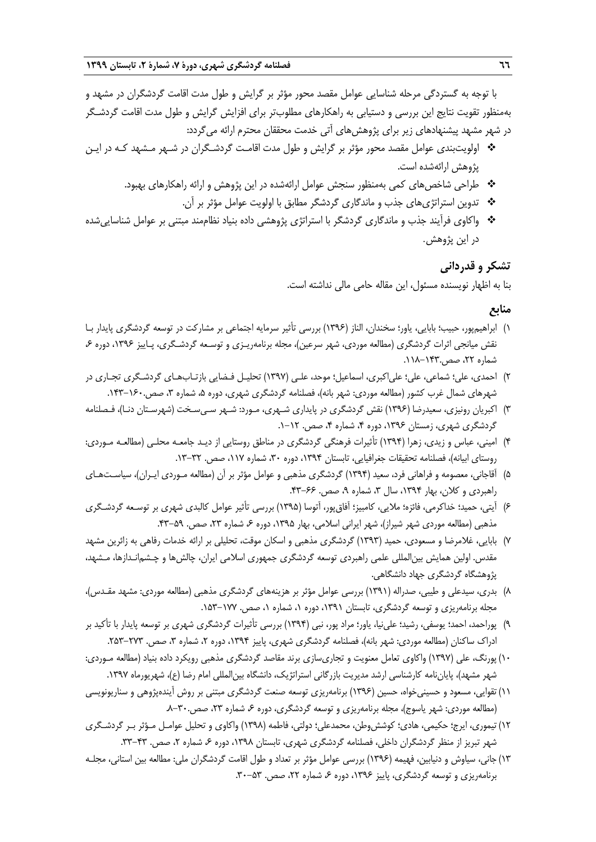با توجه به گستردگي مرحله شناسايي عوامل مقصد محور مؤثر بر گرايش و طول مدت اقامت گردشگران در مشهد و بهمنظور تقويت نتايج اين بررسي و دستيابي به راهكارهاي مطلوبتر براي افزايش گرايش و طول مدت اقامت گردشـگر در شهر مشهد پيشنهادهاي زير براي پژوهشهاي آتي خدمت محققان محترم ارائه ميگردد:

- اولويتبندي عوامل مقصد محور مؤثر بر گرايش و طول مدت اقامـت گردشـگران در شـهر مـشهد كـه در ايـن پژوهش ارائهشده است.
	- طراحي شاخصهاي كمي بهمنظور سنجش عوامل ارائهشده در اين پژوهش و ارائه راهكارهاي بهبود.
		- تدوين استراتژيهاي جذب و ماندگاري گردشگر مطابق با اولويت عوامل مؤثر بر آن.
- واكاوي فرآيند جذب و ماندگاري گردشگر با استراتژي پژوهشي داده بنياد نظاممند مبتني بر عوامل شناساييشده در اين پژوهش.

#### **تشكر و قدرداني**

بنا به اظهار نويسنده مسئول، اين مقاله حامي مالي نداشته است.

## **منابع**

- 1) ابراهيمپور، حبيب؛ بابايي، ياور؛ سخندان، الناز (1396) بررسي تأثير سرمايه اجتماعي بر مشاركت در توسعه گردشگري پايدار بـا نقش ميانجي اثرات گردشگري (مطالعه موردي، شهر سرعين)، مجله برنامهريـزي و توسـعه گردشـگري، پـاييز ،1396 دوره ،6 شماره ۲۲، صص.۱۴۳-۱۱۸.
- 2) احمدي، علي؛ شماعي، علي؛ علياكبري، اسماعيل؛ موحد، علـي (1397) تحليـل فـضايي بازتـابهـاي گردشـگري تجـاري در شهرهاي شمال غرب كشور (مطالعه موردي: شهر بانه)، فصلنامه گردشگري شهري، دوره ۵، شماره ۳، صص.۱۶۰–۱۴۳.
- 3) اكبريان رونيزي، سعيدرضا (1396) نقش گردشگري در پايداري شـهري، مـورد: شـهر سـيسـخت (شهرسـتان دنـا)، فـصلنامه گردشگري شهري، زمستان ۱۳۹۶، دوره ۴، شماره ۴، صص. ۱۲-۱.
- 4) اميني، عباس و زيدي، زهرا (1394) تأثيرات فرهنگي گردشگري در مناطق روستايي از ديـد جامعـه محلـي (مطالعـه مـوردي: روستاي ابيانه)، فصلنامه تحقيقات جغرافيايي، تابستان ١٣٩٤، دوره ٣٠، شماره ١١٧، صص. ٣٢-١٣.
- 5) آقاجاني، معصومه و فراهاني فرد، سعيد (1394) گردشگري مذهبي و عوامل مؤثر بر آن (مطالعه مـوردي ايـران)، سياسـتهـاي راهبردي و كلان، بهار ۱۳۹۴، سال ۳، شماره ۹، صص. ۶۶-۴۳.
- 6) آيتي، حميد؛ خداكرمي، فائزه؛ ملايي، كامبيز؛ آفاقپور، آتوسا (1395) بررسي تأثير عوامل كالبدي شهري بر توسـعه گردشـگري مذهبي (مطالعه موردي شهر شيراز)، شهر ايراني اسلامي، بهار ١٣٩۵، دوره ۶، شماره ٢٣، صص. ٥٩-۴٣.
- 7) بابايي، غلامرضا و مسعودي، حميد (1393) گردشگري مذهبي و اسكان موقت، تحليلي بر ارائه خدمات رفاهي به زائرين مشهد مقدس. اولين همايش بينالمللي علمي راهبردي توسعه گردشگري جمهوري اسلامي ايران، چالشها و چـشمانـدازها، مـشهد، پژوهشگاه گردشگري جهاد دانشگاهي.
- 8) بدري، سيدعلي و طيبي، صدراله (1391) بررسي عوامل مؤثر بر هزينههاي گردشگري مذهبي (مطالعه موردي: مشهد مقـدس)، مجله برنامهريزي و توسعه گردشگري، تابستان ۱۳۹۱، دوره ۰، شماره ۰، صص. ۱۷۷–۱۵۳.
- 9) پوراحمد، احمد؛ يوسفي، رشيد؛ علينيا، ياور؛ مراد پور، نبي (1394) بررسي تأثيرات گردشگري شهري بر توسعه پايدار با تأكيد بر ادراک ساکنان (مطالعه موردي: شهر بانه)، فصلنامه گردشگري شهري، پاييز ۱۳۹۴، دوره ۲، شماره ۳، صص. ۲۷۳–۲۵۳.
- 10) پورنگ، علي (1397) واكاوي تعامل معنويت و تجاريسازي برند مقاصد گردشگري مذهبي رويكرد داده بنياد (مطالعه مـوردي: شهر مشهد)، پاياننامه كارشناسي ارشد مديريت بازرگاني استراتژيك، دانشگاه بينالمللي امام رضا (ع)، شهريورماه .1397
- 11) تقوايي، مسعود و حسينيخواه، حسين (1396) برنامهريزي توسعه صنعت گردشگري مبتني بر روش آيندهپژوهي و سناريونويسي (مطالعه موردي: شهر ياسوج)، مجله برنامهريزي و توسعه گردشگري، دوره ۶ شماره ۲۳، صص.۳۰-۸.
- 12) تيموري، ايرج؛ حكيمي، هادي؛ كوششوطن، محمدعلي؛ دولتي، فاطمه (1398) واكاوي و تحليل عوامـل مـؤثر بـر گردشـگري شهر تبریز از منظر گردشگران داخلي، فصلنامه گردشگري شهري، تابستان ۱۳۹۸، دوره ۶، شماره ۲، صص. ۴۳-۳۳.
- 13) جاني، سياوش و دنيابين، فهيمه (1396) بررسي عوامل مؤثر بر تعداد و طول اقامت گردشگران ملي: مطالعه بين استاني، مجلـه برنامهريزي و توسعه گردشگري، پاييز ۱۳۹۶، دوره ۶ شماره ۲۲، صص. ۵۳-۳۰.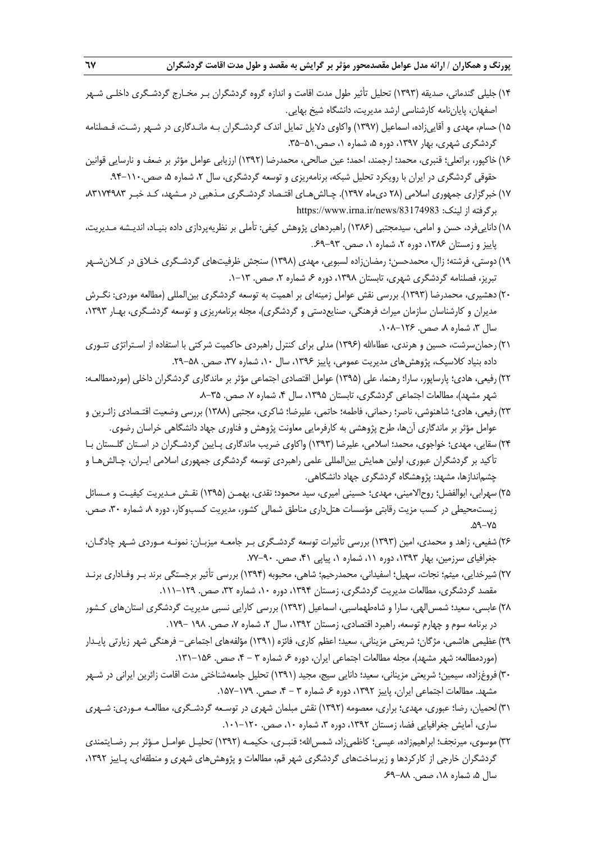- 14) جليلي گندماني، صديقه (1393) تحليل تأثير طول مدت اقامت و اندازه گروه گردشگران بـر مخـارج گردشـگري داخلـي شـهر اصفهان، پاياننامه كارشناسي ارشد مديريت، دانشگاه شيخ بهايي.
- 15) حسام، مهدي و آقاييزاده، اسماعيل (1397) واكاوي دلايل تمايل اندك گردشـگران بـه مانـدگاري در شـهر رشـت، فـصلنامه گردشگري شهري، بهار ۱۳۹۷، دوره ۵، شماره ۱، صص.۵۱-۳۵.
- 16) خاكپور، براتعلي؛ قنبري، محمد؛ ارجمند، احمد؛ عين صالحي، محمدرضا (1392) ارزيابي عوامل مؤثر بر ضعف و نارسايي قوانين حقوقي گردشگري در ايران با رويكرد تحليل شبكه، برنامهريزي و توسعه گردشگري، سال ۲، شماره ۵، صص.۱۱۰-۹۴.
- 17) خبرگزاري جمهوري اسلامي (28 ديماه 1397). چـالشهـاي اقتـصاد گردشـگري مـذهبي در مـشهد، كـد خبـر ،83174983 https://www.irna.ir/news/83174983 :برگرفته از لينك:
- 18) داناييفرد، حسن و امامي، سيدمجتبي (1386) راهبردهاي پژوهش كيفي: تأملي بر نظريهپردازي داده بنيـاد، انديـشه مـديريت، پاييز و زمستان ۱۳۸۶، دوره ۲، شماره ۱، صص. ۹۳–۶۹.
- 19) دوستي، فرشته؛ زال، محمدحسن؛ رمضانزاده لسبويي، مهدي (1398) سنجش ظرفيتهاي گردشـگري خـلاق در كـلانشـهر تبريز، فصلنامه گردشگري شهري، تابستان ۱۳۹۸، دوره ۶، شماره ۲، صص. ۱۳-۱.
- 20) دهشيري، محمدرضا (1393). بررسي نقش عوامل زمينهاي بر اهميت به توسعه گردشگري بينالمللي (مطالعه موردي: نگـرش مديران و كارشناسان سازمان ميراث فرهنگي، صنايعدستي و گردشگري)، مجله برنامهريزي و توسعه گردشـگري، بهـار ،1393 سال ۳، شماره ۸، صص. ۱۲۶-۱۰۸.
- 21) رحمانسرشت، حسين و هرندي، عطاءاالله (1396) مدلي براي كنترل راهبردي حاكميت شركتي با استفاده از اسـتراتژي تئـوري داده بنياد كلاسيك، پژوهش هاي مديريت عمومي، پاييز ۱۳۹۶، سال ۱۰، شماره ۳۷، صص. ۵۸–۲۹.
- 22) رفيعي، هادي؛ پارساپور، سارا؛ رهنما، علي (1395) عوامل اقتصادي اجتماعي مؤثر بر ماندگاري گردشگران داخلي (موردمطالعـه: شهر مشهد)، مطالعات اجتماعي گردشگري، تابستان ۱۳۹۵، سال ۴، شماره ۷، صص. ۳۵–۸.
- 23) رفيعي، هادي؛ شاهنوشي، ناصر؛ رحماني، فاطمه؛ حاتمي، عليرضا؛ شاكري، مجتبي (1388) بررسي وضعيت اقتـصادي زائـرين و عوامل مؤثر بر ماندگاري آنها، طرح پژوهشي به كارفرمايي معاونت پژوهش و فناوري جهاد دانشگاهي خراسان رضوي.
- 24) سقايي، مهدي؛ خواجوي، محمد؛ اسلامي، عليرضا (1393) واكاوي ضريب ماندگاري پـايين گردشـگران در اسـتان گلـستان بـا تأكيد بر گردشگران عبوري، اولين همايش بينالمللي علمي راهبردي توسعه گردشگري جمهوري اسلامي ايـران، چـالشهـا و چشماندازها، مشهد: پژوهشگاه گردشگري جهاد دانشگاهي.
- 25) سهرابي، ابوالفضل؛ روحالاميني، مهدي؛ حسيني اميري، سيد محمود؛ نقدي، بهمـن (1395) نقـش مـديريت كيفيـت و مـسائل زيستمحيطي در كسب مزيت رقابتي مؤسسات هتلداري مناطق شمالي كشور، مديريت كسبوكار، دوره ٨، شماره ٣٠، صص. .59-75
- 26) شفيعي، زاهد و محمدي، امين (1393) بررسي تأثيرات توسعه گردشـگري بـر جامعـه ميزبـان : نمونـه مـوردي شـهر چادگـان، جغرافياي سرزمين، بهار ١٣٩٣، دوره ١١، شماره ١، پياپي ۴١، صص. ٩٠-٧٧.
- 27) شيرخدايي، ميثم؛ نجات، سهيل؛ اسفيداني، محمدرحيم؛ شاهي، محبوبه (1394) بررسي تأثير برجستگي برند بـر وفـاداري برنـد مقصد گردشگري، مطالعات مديريت گردشگري، زمستان ۱۳۹۴، دوره ۱۰، شماره ۳۲، صص. ۱۲۹–۱۱۱.
- 28)عابسي، سعيد؛ شمسالهي، سارا و شاهطهماسبي، اسماعيل (1392) بررسي كارايي نسبي مديريت گردشگري استانهاي كـشور در برنامه سوم و چهارم توسعه، راهبرد اقتصادي، زمستان ۱۳۹۲، سال ۲، شماره ۷، صص. ۱۹۸ –۱۷۹.
- 29)عظيمي هاشمي، مژگان؛ شريعتي مزيناني، سعيد؛ اعظم كاري، فائزه (1391) مؤلفههاي اجتماعي- فرهنگي شهر زيارتي پايـدار (موردمطالعه: شهر مشهد)، مجله مطالعات اجتماعي ايران، دوره ۶، شماره ۳ - ۴، صص. ۱۵۶-۱۳۱.
- 30) فروغزاده، سيمين؛ شريعتي مزيناني، سعيد؛ دانايي سيج، مجيد (1391) تحليل جامعهشناختي مدت اقامت زائرين ايراني در شـهر مشهد. مطالعات اجتماعي ايران، پاييز ١٣٩٢، دوره ۶، شماره ٣ - ۴، صص. ١٧٩-١٨٧.
- 31) لحميان، رضا؛ عبوري، مهدي؛ براري، معصومه (1392) نقش مبلمان شهري در توسـعه گردشـگري، مطالعـه مـوردي : شـهري ساري، آمايش جغرافيايي فضا، زمستان ١٣٩٢، دوره ٣، شماره ١٠، صص. ١٢٠–١٠١.
- 32) موسوي، ميرنجف؛ ابراهيمزاده، عيسي؛ كاظميزاد، شمساالله؛ قنبـري، حكيمـه (1392) تحليـل عوامـل مـؤثر بـر رضـايتمندي گردشگران خارجي از كاركردها و زيرساختهاي گردشگري شهر قم، مطالعات و پژوهشهاي شهري و منطقهاي، پـاييز ،1392 سال ۵، شماره ۱۸، صص. ۸۸–۶۹.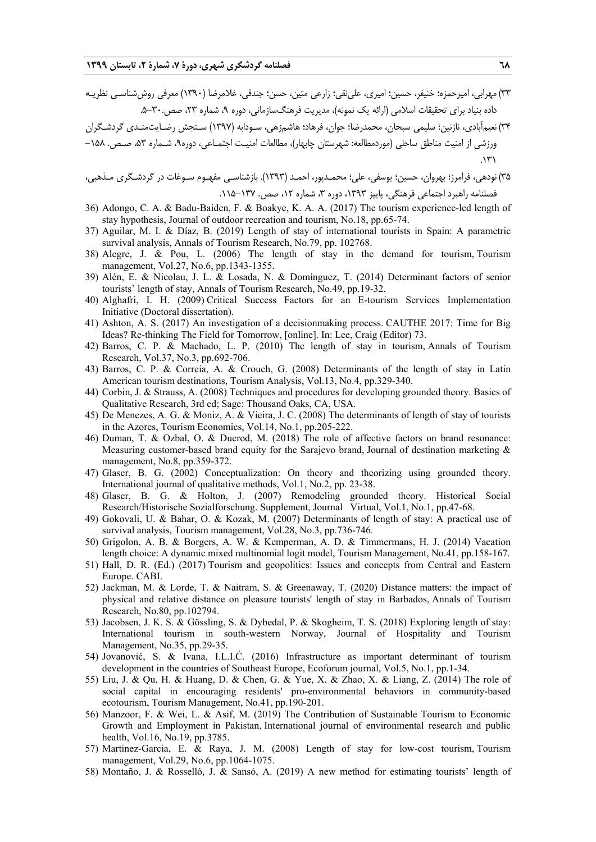33) مهرابي، اميرحمزه؛ خنيفر، حسين؛ اميري، علينقي؛ زارعي متين، حسن؛ جندقي، غلامرضا (1390) معرفي روششناسـي نظريـه داده بنياد براي تحقيقات اسلامي (ارائه يك نمونه)، مديريت فرهنگسازماني، دوره ،9 شماره ،23 صص.5-30.

34) نعيمآبادي، نازنين؛ سليمي سبحان، محمدرضا؛ جوان، فرهاد؛ هاشمزهي، سـودابه (1397) سـنجش رضـايتمنـدي گردشـگران ورزشي از امنيت مناطق ساحلي (موردمطالعه: شهرستان چابهار)، مطالعات امنيـت اجتمـاعي، دوره،9 شـماره ،53 صـص. -158  $.171$ 

- 35) نودهي، فرامرز؛ بهروان، حسين؛ يوسفي، علي؛ محمـدپور، احمـد (1393). بازشناسـي مفهـوم سـوغات در گردشـگري مـذهبي، فصلنامه راهبرد اجتماعي فرهنگي، پاييز ١٣٩٣، دوره ٣، شماره ١٢، صص. ١٣٧-١١٥.
- 36) Adongo, C. A. & Badu-Baiden, F. & Boakye, K. A. A. (2017) The tourism experience-led length of stay hypothesis, Journal of outdoor recreation and tourism, No.18, pp.65-74.
- 37) Aguilar, M. I. & Díaz, B. (2019) Length of stay of international tourists in Spain: A parametric survival analysis, Annals of Tourism Research, No.79, pp. 102768.
- 38) Alegre, J. & Pou, L. (2006) The length of stay in the demand for tourism, Tourism management, Vol.27, No.6, pp.1343-1355.
- 39) Alén, E. & Nicolau, J. L. & Losada, N. & Domínguez, T. (2014) Determinant factors of senior tourists' length of stay, Annals of Tourism Research, No.49, pp.19-32.
- 40) Alghafri, I. H. (2009) Critical Success Factors for an E-tourism Services Implementation Initiative (Doctoral dissertation).
- 41) Ashton, A. S. (2017) An investigation of a decisionmaking process. CAUTHE 2017: Time for Big Ideas? Re-thinking The Field for Tomorrow, [online]. In: Lee, Craig (Editor) 73.
- 42) Barros, C. P. & Machado, L. P. (2010) The length of stay in tourism, Annals of Tourism Research, Vol.37, No.3, pp.692-706.
- 43) Barros, C. P. & Correia, A. & Crouch, G. (2008) Determinants of the length of stay in Latin American tourism destinations, Tourism Analysis, Vol.13, No.4, pp.329-340.
- 44) Corbin, J. & Strauss, A. (2008) Techniques and procedures for developing grounded theory. Basics of Qualitative Research, 3rd ed; Sage: Thousand Oaks, CA, USA.
- 45) De Menezes, A. G. & Moniz, A. & Vieira, J. C. (2008) The determinants of length of stay of tourists in the Azores, Tourism Economics, Vol.14, No.1, pp.205-222.
- 46) Duman, T. & Ozbal, O. & Duerod, M. (2018) The role of affective factors on brand resonance: Measuring customer-based brand equity for the Sarajevo brand, Journal of destination marketing  $\&$ management, No.8, pp.359-372.
- 47) Glaser, B. G. (2002) Conceptualization: On theory and theorizing using grounded theory. International journal of qualitative methods, Vol.1, No.2, pp. 23-38.
- 48) Glaser, B. G. & Holton, J. (2007) Remodeling grounded theory. Historical Social Research/Historische Sozialforschung. Supplement, Journal Virtual, Vol.1, No.1, pp.47-68.
- 49) Gokovali, U. & Bahar, O. & Kozak, M. (2007) Determinants of length of stay: A practical use of survival analysis, Tourism management, Vol.28, No.3, pp.736-746.
- 50) Grigolon, A. B. & Borgers, A. W. & Kemperman, A. D. & Timmermans, H. J. (2014) Vacation length choice: A dynamic mixed multinomial logit model, Tourism Management, No.41, pp.158-167.
- 51) Hall, D. R. (Ed.) (2017) Tourism and geopolitics: Issues and concepts from Central and Eastern Europe. CABI.
- 52) Jackman, M. & Lorde, T. & Naitram, S. & Greenaway, T. (2020) Distance matters: the impact of physical and relative distance on pleasure tourists' length of stay in Barbados, Annals of Tourism Research, No.80, pp.102794.
- 53) Jacobsen, J. K. S. & Gössling, S. & Dybedal, P. & Skogheim, T. S. (2018) Exploring length of stay: International tourism in south-western Norway, Journal of Hospitality and Tourism Management, No.35, pp.29-35.
- 54) Jovanović, S. & Ivana, I.L.I.Ć. (2016) Infrastructure as important determinant of tourism development in the countries of Southeast Europe, Ecoforum journal, Vol.5, No.1, pp.1-34.
- 55) Liu, J. & Qu, H. & Huang, D. & Chen, G. & Yue, X. & Zhao, X. & Liang, Z. (2014) The role of social capital in encouraging residents' pro-environmental behaviors in community-based ecotourism, Tourism Management, No.41, pp.190-201.
- 56) Manzoor, F. & Wei, L. & Asif, M. (2019) The Contribution of Sustainable Tourism to Economic Growth and Employment in Pakistan, International journal of environmental research and public health, Vol.16, No.19, pp.3785.
- 57) Martinez-Garcia, E. & Raya, J. M. (2008) Length of stay for low-cost tourism, Tourism management, Vol.29, No.6, pp.1064-1075.
- 58) Montaño, J. & Rosselló, J. & Sansó, A. (2019) A new method for estimating tourists' length of